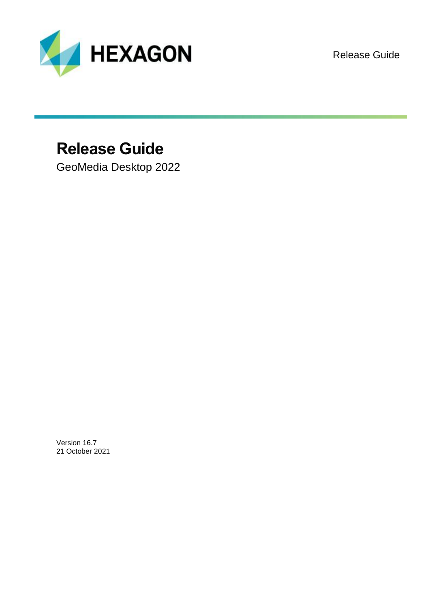

Release Guide

# **Release Guide**

GeoMedia Desktop 2022

Version 16.7 21 October 2021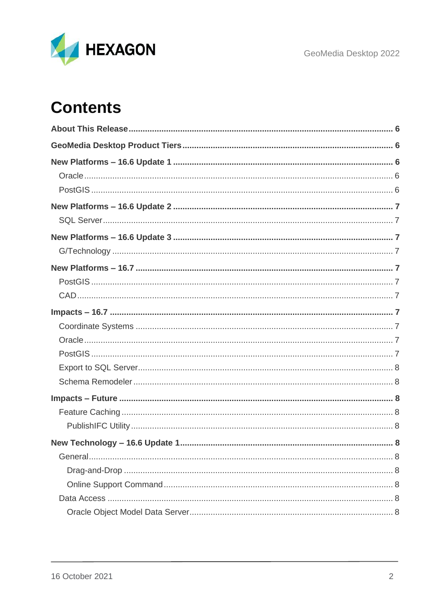

# **Contents**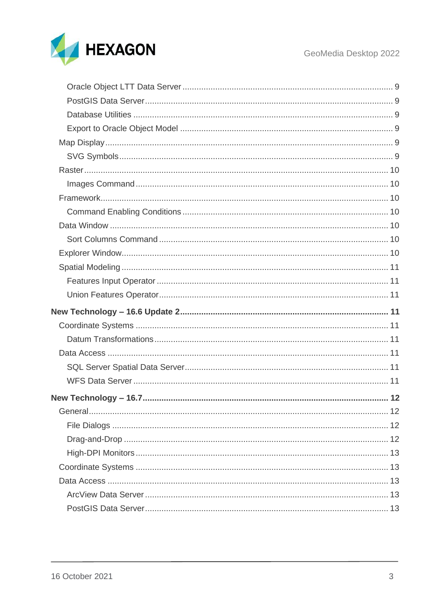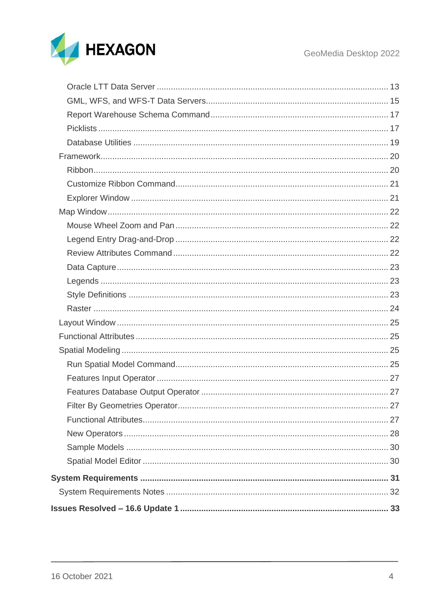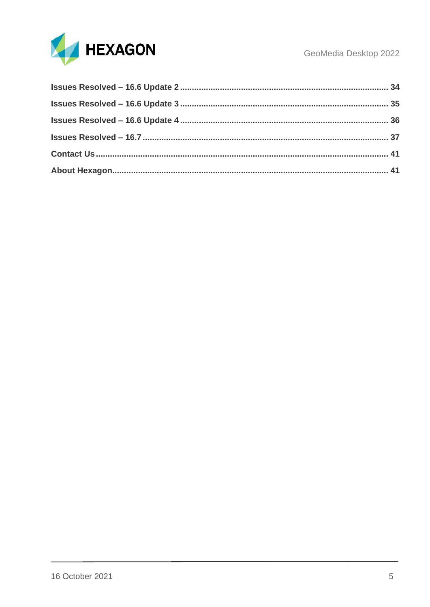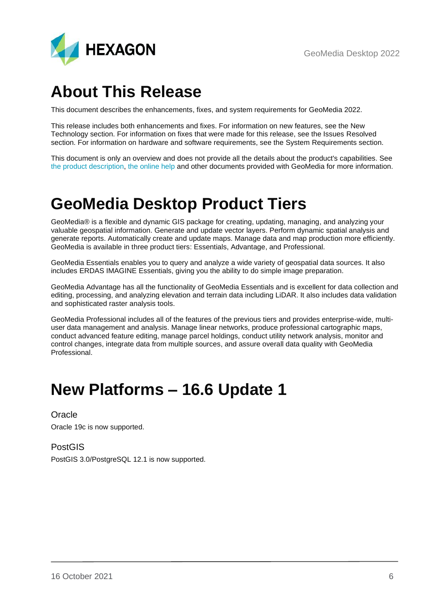# <span id="page-5-0"></span>**About This Release**

This document describes the enhancements, fixes, and system requirements for GeoMedia 2022.

This release includes both enhancements and fixes. For information on new features, see the New Technology section. For information on fixes that were made for this release, see the Issues Resolved section. For information on hardware and software requirements, see the System Requirements section.

This document is only an overview and does not provide all the details about the product's capabilities. See [the product description,](https://bynder.hexagon.com/m/722a49b1be53661e/original/Hexagon_GSP_GeoMedia_Product_description_2022.pdf) [the online help](https://hexagongeospatial.fluidtopics.net/search/all?filters=HGD_Product~%2522GeoMedia%2522&content-lang=en-US) and other documents provided with GeoMedia for more information.

# <span id="page-5-1"></span>**GeoMedia Desktop Product Tiers**

GeoMedia® is a flexible and dynamic GIS package for creating, updating, managing, and analyzing your valuable geospatial information. Generate and update vector layers. Perform dynamic spatial analysis and generate reports. Automatically create and update maps. Manage data and map production more efficiently. GeoMedia is available in three product tiers: Essentials, Advantage, and Professional.

GeoMedia Essentials enables you to query and analyze a wide variety of geospatial data sources. It also includes ERDAS IMAGINE Essentials, giving you the ability to do simple image preparation.

GeoMedia Advantage has all the functionality of GeoMedia Essentials and is excellent for data collection and editing, processing, and analyzing elevation and terrain data including LiDAR. It also includes data validation and sophisticated raster analysis tools.

GeoMedia Professional includes all of the features of the previous tiers and provides enterprise-wide, multiuser data management and analysis. Manage linear networks, produce professional cartographic maps, conduct advanced feature editing, manage parcel holdings, conduct utility network analysis, monitor and control changes, integrate data from multiple sources, and assure overall data quality with GeoMedia **Professional** 

# <span id="page-5-2"></span>**New Platforms – 16.6 Update 1**

<span id="page-5-3"></span>**Oracle** Oracle 19c is now supported.

<span id="page-5-4"></span>PostGIS PostGIS 3.0/PostgreSQL 12.1 is now supported.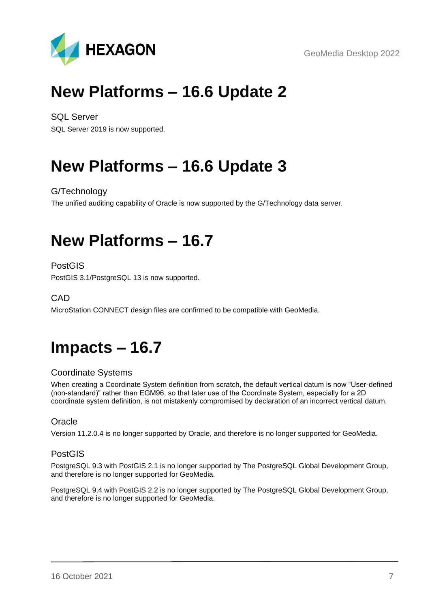GeoMedia Desktop 2022



# <span id="page-6-0"></span>**New Platforms – 16.6 Update 2**

<span id="page-6-1"></span>SQL Server SQL Server 2019 is now supported.

# <span id="page-6-2"></span>**New Platforms – 16.6 Update 3**

<span id="page-6-3"></span>G/Technology

The unified auditing capability of Oracle is now supported by the G/Technology data server.

# <span id="page-6-4"></span>**New Platforms – 16.7**

<span id="page-6-5"></span>PostGIS

PostGIS 3.1/PostgreSQL 13 is now supported.

<span id="page-6-6"></span>C<sub>A</sub>D

MicroStation CONNECT design files are confirmed to be compatible with GeoMedia.

# <span id="page-6-7"></span>**Impacts – 16.7**

## <span id="page-6-8"></span>Coordinate Systems

When creating a Coordinate System definition from scratch, the default vertical datum is now "User-defined (non-standard)" rather than EGM96, so that later use of the Coordinate System, especially for a 2D coordinate system definition, is not mistakenly compromised by declaration of an incorrect vertical datum.

## <span id="page-6-9"></span>**Oracle**

Version 11.2.0.4 is no longer supported by Oracle, and therefore is no longer supported for GeoMedia.

## <span id="page-6-10"></span>PostGIS

PostgreSQL 9.3 with PostGIS 2.1 is no longer supported by The PostgreSQL Global Development Group, and therefore is no longer supported for GeoMedia.

PostgreSQL 9.4 with PostGIS 2.2 is no longer supported by The PostgreSQL Global Development Group, and therefore is no longer supported for GeoMedia.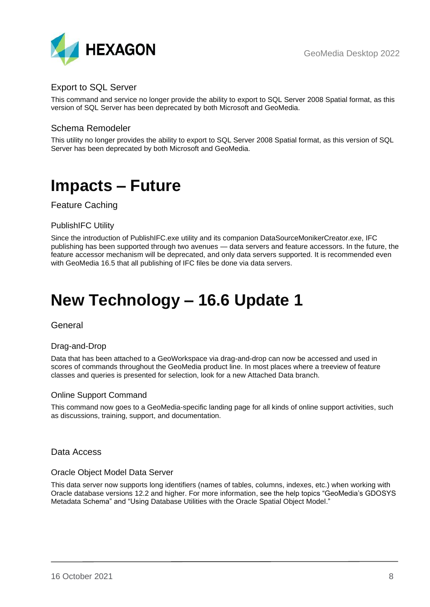

## <span id="page-7-0"></span>Export to SQL Server

This command and service no longer provide the ability to export to SQL Server 2008 Spatial format, as this version of SQL Server has been deprecated by both Microsoft and GeoMedia.

## <span id="page-7-1"></span>Schema Remodeler

This utility no longer provides the ability to export to SQL Server 2008 Spatial format, as this version of SQL Server has been deprecated by both Microsoft and GeoMedia.

## <span id="page-7-2"></span>**Impacts – Future**

<span id="page-7-3"></span>Feature Caching

## <span id="page-7-4"></span>PublishIFC Utility

Since the introduction of PublishIFC.exe utility and its companion DataSourceMonikerCreator.exe, IFC publishing has been supported through two avenues — data servers and feature accessors. In the future, the feature accessor mechanism will be deprecated, and only data servers supported. It is recommended even with GeoMedia 16.5 that all publishing of IFC files be done via data servers.

# <span id="page-7-5"></span>**New Technology – 16.6 Update 1**

## <span id="page-7-6"></span>General

## <span id="page-7-7"></span>Drag-and-Drop

Data that has been attached to a GeoWorkspace via drag-and-drop can now be accessed and used in scores of commands throughout the GeoMedia product line. In most places where a treeview of feature classes and queries is presented for selection, look for a new Attached Data branch.

## <span id="page-7-8"></span>Online Support Command

This command now goes to a GeoMedia-specific landing page for all kinds of online support activities, such as discussions, training, support, and documentation.

## <span id="page-7-9"></span>Data Access

#### <span id="page-7-10"></span>Oracle Object Model Data Server

This data server now supports long identifiers (names of tables, columns, indexes, etc.) when working with Oracle database versions 12.2 and higher. For more information, see the help topics "GeoMedia's GDOSYS Metadata Schema" and "Using Database Utilities with the Oracle Spatial Object Model."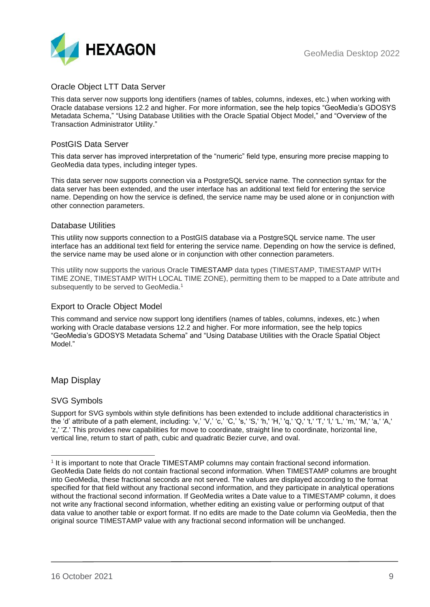

## <span id="page-8-0"></span>Oracle Object LTT Data Server

This data server now supports long identifiers (names of tables, columns, indexes, etc.) when working with Oracle database versions 12.2 and higher. For more information, see the help topics "GeoMedia's GDOSYS Metadata Schema," "Using Database Utilities with the Oracle Spatial Object Model," and "Overview of the Transaction Administrator Utility."

## <span id="page-8-1"></span>PostGIS Data Server

This data server has improved interpretation of the "numeric" field type, ensuring more precise mapping to GeoMedia data types, including integer types.

This data server now supports connection via a PostgreSQL service name. The connection syntax for the data server has been extended, and the user interface has an additional text field for entering the service name. Depending on how the service is defined, the service name may be used alone or in conjunction with other connection parameters.

## <span id="page-8-2"></span>Database Utilities

This utility now supports connection to a PostGIS database via a PostgreSQL service name. The user interface has an additional text field for entering the service name. Depending on how the service is defined, the service name may be used alone or in conjunction with other connection parameters.

This utility now supports the various Oracle TIMESTAMP data types (TIMESTAMP, TIMESTAMP WITH TIME ZONE, TIMESTAMP WITH LOCAL TIME ZONE), permitting them to be mapped to a Date attribute and subsequently to be served to GeoMedia.<sup>1</sup>

## <span id="page-8-3"></span>Export to Oracle Object Model

This command and service now support long identifiers (names of tables, columns, indexes, etc.) when working with Oracle database versions 12.2 and higher. For more information, see the help topics "GeoMedia's GDOSYS Metadata Schema" and "Using Database Utilities with the Oracle Spatial Object Model."

<span id="page-8-4"></span>Map Display

## <span id="page-8-5"></span>SVG Symbols

Support for SVG symbols within style definitions has been extended to include additional characteristics in the 'd' attribute of a path element, including: 'v,' 'V,' 'c,' 'C,' 's,' 'S,' 'h,' 'H,' 'q,' 'Q,' 't,' 'T,' 'l,' 'L,' 'm,' 'M,' 'a,' 'A,' 'z,' 'Z.' This provides new capabilities for move to coordinate, straight line to coordinate, horizontal line, vertical line, return to start of path, cubic and quadratic Bezier curve, and oval.

<sup>&</sup>lt;sup>1</sup> It is important to note that Oracle TIMESTAMP columns may contain fractional second information. GeoMedia Date fields do not contain fractional second information. When TIMESTAMP columns are brought into GeoMedia, these fractional seconds are not served. The values are displayed according to the format specified for that field without any fractional second information, and they participate in analytical operations without the fractional second information. If GeoMedia writes a Date value to a TIMESTAMP column, it does not write any fractional second information, whether editing an existing value or performing output of that data value to another table or export format. If no edits are made to the Date column via GeoMedia, then the original source TIMESTAMP value with any fractional second information will be unchanged.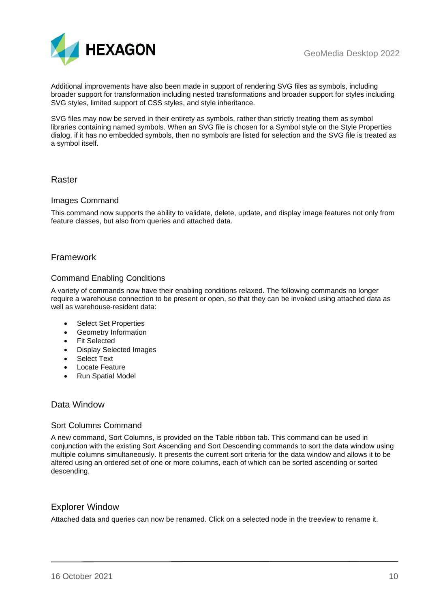

Additional improvements have also been made in support of rendering SVG files as symbols, including broader support for transformation including nested transformations and broader support for styles including SVG styles, limited support of CSS styles, and style inheritance.

SVG files may now be served in their entirety as symbols, rather than strictly treating them as symbol libraries containing named symbols. When an SVG file is chosen for a Symbol style on the Style Properties dialog, if it has no embedded symbols, then no symbols are listed for selection and the SVG file is treated as a symbol itself.

## <span id="page-9-0"></span>Raster

#### <span id="page-9-1"></span>Images Command

This command now supports the ability to validate, delete, update, and display image features not only from feature classes, but also from queries and attached data.

## <span id="page-9-2"></span>Framework

## <span id="page-9-3"></span>Command Enabling Conditions

A variety of commands now have their enabling conditions relaxed. The following commands no longer require a warehouse connection to be present or open, so that they can be invoked using attached data as well as warehouse-resident data:

- Select Set Properties
- Geometry Information
- Fit Selected
- Display Selected Images
- **Select Text**
- **Locate Feature**
- Run Spatial Model

## <span id="page-9-4"></span>Data Window

#### <span id="page-9-5"></span>Sort Columns Command

A new command, Sort Columns, is provided on the Table ribbon tab. This command can be used in conjunction with the existing Sort Ascending and Sort Descending commands to sort the data window using multiple columns simultaneously. It presents the current sort criteria for the data window and allows it to be altered using an ordered set of one or more columns, each of which can be sorted ascending or sorted descending.

## <span id="page-9-6"></span>Explorer Window

Attached data and queries can now be renamed. Click on a selected node in the treeview to rename it.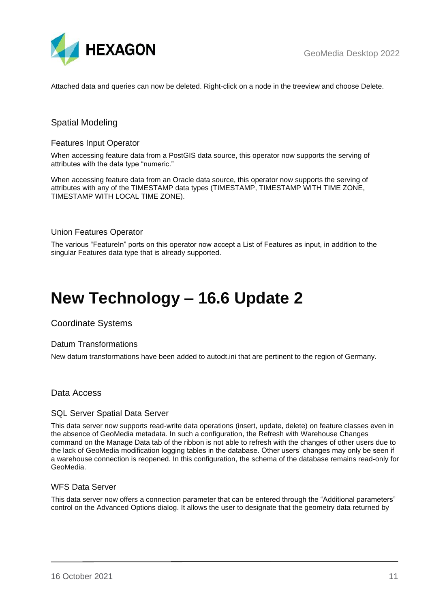

Attached data and queries can now be deleted. Right-click on a node in the treeview and choose Delete.

## <span id="page-10-0"></span>Spatial Modeling

## <span id="page-10-1"></span>Features Input Operator

When accessing feature data from a PostGIS data source, this operator now supports the serving of attributes with the data type "numeric."

When accessing feature data from an Oracle data source, this operator now supports the serving of attributes with any of the TIMESTAMP data types (TIMESTAMP, TIMESTAMP WITH TIME ZONE, TIMESTAMP WITH LOCAL TIME ZONE).

## <span id="page-10-2"></span>Union Features Operator

The various "FeatureIn" ports on this operator now accept a List of Features as input, in addition to the singular Features data type that is already supported.

# <span id="page-10-3"></span>**New Technology – 16.6 Update 2**

<span id="page-10-4"></span>Coordinate Systems

#### <span id="page-10-5"></span>Datum Transformations

New datum transformations have been added to autodt.ini that are pertinent to the region of Germany.

## <span id="page-10-6"></span>Data Access

#### <span id="page-10-7"></span>SQL Server Spatial Data Server

This data server now supports read-write data operations (insert, update, delete) on feature classes even in the absence of GeoMedia metadata. In such a configuration, the Refresh with Warehouse Changes command on the Manage Data tab of the ribbon is not able to refresh with the changes of other users due to the lack of GeoMedia modification logging tables in the database. Other users' changes may only be seen if a warehouse connection is reopened. In this configuration, the schema of the database remains read-only for GeoMedia.

## <span id="page-10-8"></span>WFS Data Server

This data server now offers a connection parameter that can be entered through the "Additional parameters" control on the Advanced Options dialog. It allows the user to designate that the geometry data returned by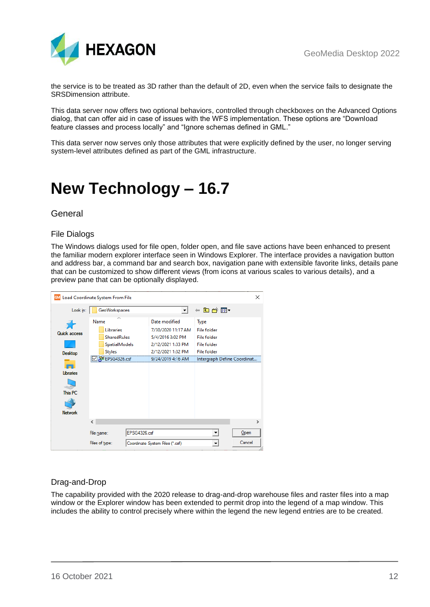

the service is to be treated as 3D rather than the default of 2D, even when the service fails to designate the SRSDimension attribute.

This data server now offers two optional behaviors, controlled through checkboxes on the Advanced Options dialog, that can offer aid in case of issues with the WFS implementation. These options are "Download feature classes and process locally" and "Ignore schemas defined in GML."

This data server now serves only those attributes that were explicitly defined by the user, no longer serving system-level attributes defined as part of the GML infrastructure.

# <span id="page-11-0"></span>**New Technology – 16.7**

## <span id="page-11-1"></span>General

## <span id="page-11-2"></span>File Dialogs

The Windows dialogs used for file open, folder open, and file save actions have been enhanced to present the familiar modern explorer interface seen in Windows Explorer. The interface provides a navigation button and address bar, a command bar and search box, navigation pane with extensible favorite links, details pane that can be customized to show different views (from icons at various scales to various details), and a preview pane that can be optionally displayed.

| Load Coordinate System From File<br><b>GM</b> |                |                      |              |                                 |                    | $\times$                     |
|-----------------------------------------------|----------------|----------------------|--------------|---------------------------------|--------------------|------------------------------|
| Look in:                                      |                | GeoWorkspaces        |              | ۰                               | ←自合國▼              |                              |
|                                               | Name           |                      |              | Date modified                   | Type               |                              |
| <b>Quick access</b>                           |                | Libraries            |              | 7/30/2020 11:17 AM              | <b>File folder</b> |                              |
|                                               |                | <b>SharedRules</b>   |              | 5/4/2016 3:02 PM                | <b>File folder</b> |                              |
|                                               |                | <b>SpatialModels</b> |              | 2/12/2021 1:33 PM               | <b>File folder</b> |                              |
| Desktop                                       |                | <b>Styles</b>        |              | 2/12/2021 1:32 PM               | <b>File folder</b> |                              |
|                                               |                | ≌ EPSG4326.csf       |              | 9/24/2019 4:16 AM               |                    | Intergraph Define Coordinat. |
|                                               |                |                      |              |                                 |                    |                              |
| Libraries                                     |                |                      |              |                                 |                    |                              |
|                                               |                |                      |              |                                 |                    |                              |
| This PC                                       |                |                      |              |                                 |                    |                              |
|                                               |                |                      |              |                                 |                    |                              |
| <b>Network</b>                                |                |                      |              |                                 |                    |                              |
|                                               | ≺              |                      |              |                                 |                    | $\rightarrow$                |
|                                               |                |                      |              |                                 |                    |                              |
|                                               | File name:     |                      | EPSG4326.csf |                                 |                    | Open                         |
|                                               | Files of type: |                      |              | Coordinate System Files (*.csf) |                    | Cancel                       |

## <span id="page-11-3"></span>Drag-and-Drop

The capability provided with the 2020 release to drag-and-drop warehouse files and raster files into a map window or the Explorer window has been extended to permit drop into the legend of a map window. This includes the ability to control precisely where within the legend the new legend entries are to be created.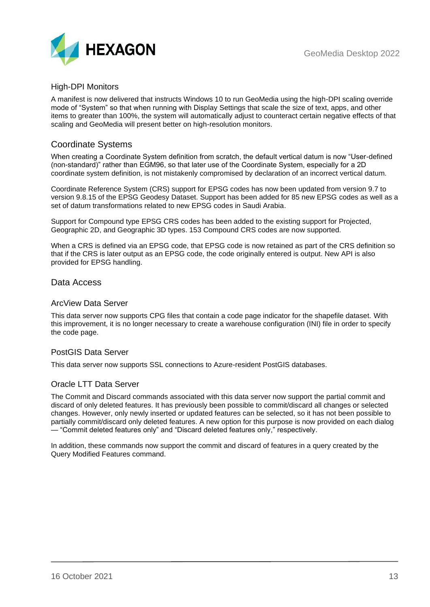

## <span id="page-12-0"></span>High-DPI Monitors

A manifest is now delivered that instructs Windows 10 to run GeoMedia using the high-DPI scaling override mode of "System" so that when running with Display Settings that scale the size of text, apps, and other items to greater than 100%, the system will automatically adjust to counteract certain negative effects of that scaling and GeoMedia will present better on high-resolution monitors.

## <span id="page-12-1"></span>Coordinate Systems

When creating a Coordinate System definition from scratch, the default vertical datum is now "User-defined (non-standard)" rather than EGM96, so that later use of the Coordinate System, especially for a 2D coordinate system definition, is not mistakenly compromised by declaration of an incorrect vertical datum.

Coordinate Reference System (CRS) support for EPSG codes has now been updated from version 9.7 to version 9.8.15 of the EPSG Geodesy Dataset. Support has been added for 85 new EPSG codes as well as a set of datum transformations related to new EPSG codes in Saudi Arabia.

Support for Compound type EPSG CRS codes has been added to the existing support for Projected, Geographic 2D, and Geographic 3D types. 153 Compound CRS codes are now supported.

When a CRS is defined via an EPSG code, that EPSG code is now retained as part of the CRS definition so that if the CRS is later output as an EPSG code, the code originally entered is output. New API is also provided for EPSG handling.

## <span id="page-12-2"></span>Data Access

## <span id="page-12-3"></span>ArcView Data Server

This data server now supports CPG files that contain a code page indicator for the shapefile dataset. With this improvement, it is no longer necessary to create a warehouse configuration (INI) file in order to specify the code page.

## <span id="page-12-4"></span>PostGIS Data Server

This data server now supports SSL connections to Azure-resident PostGIS databases.

## <span id="page-12-5"></span>Oracle LTT Data Server

The Commit and Discard commands associated with this data server now support the partial commit and discard of only deleted features. It has previously been possible to commit/discard all changes or selected changes. However, only newly inserted or updated features can be selected, so it has not been possible to partially commit/discard only deleted features. A new option for this purpose is now provided on each dialog — "Commit deleted features only" and "Discard deleted features only," respectively.

In addition, these commands now support the commit and discard of features in a query created by the Query Modified Features command.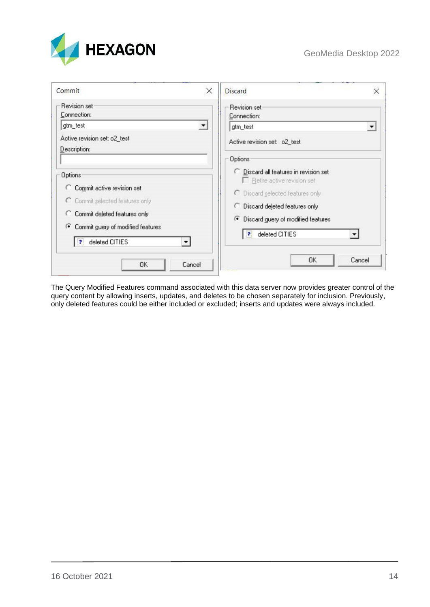

| Commit                                                                                                                                                                                                                 | $\times$<br><b>Discard</b>                                                                                                                                                                                                                                | $\times$ |
|------------------------------------------------------------------------------------------------------------------------------------------------------------------------------------------------------------------------|-----------------------------------------------------------------------------------------------------------------------------------------------------------------------------------------------------------------------------------------------------------|----------|
| Revision set<br>Connection:<br>gtm_test<br>Active revision set: o2_test<br>Description:                                                                                                                                | Revision set<br>Connection:<br>$\blacktriangledown$<br>gtm_test<br>Active revision set: o2_test                                                                                                                                                           |          |
| <b>Options</b><br>C Commit active revision set<br>C Commit selected features only<br>C Commit deleted features only<br>Commit guery of modified features<br>deleted CITIES<br>$\mathbf{R}^{\prime}$<br>▾∣<br><b>OK</b> | <b>Options</b><br>C Discard all features in revision set<br>Retire active revision set<br>C Discard selected features only<br>C Discard deleted features only<br>• Discard guery of modified features<br>deleted CITIES<br>$\overline{P}$<br>OK<br>Cancel | Cancel   |

The Query Modified Features command associated with this data server now provides greater control of the query content by allowing inserts, updates, and deletes to be chosen separately for inclusion. Previously, only deleted features could be either included or excluded; inserts and updates were always included.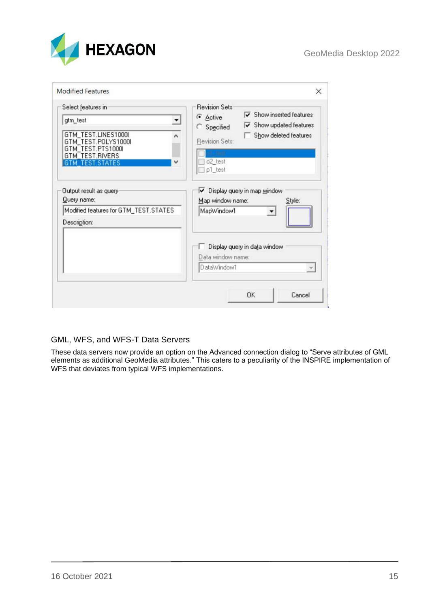

| Select features in                                                                                                                                                | <b>Revision Sets</b><br>Show inserted features<br>U<br>C Active                                                               |
|-------------------------------------------------------------------------------------------------------------------------------------------------------------------|-------------------------------------------------------------------------------------------------------------------------------|
| gtm_test<br>$\overline{\phantom{a}}$<br>GTM_TEST.LINES1000I<br>ᄉ<br>GTM_TEST.POLYS1000I<br>GTM TEST.PTS1000I<br><b>GTM TEST RIVERS</b><br>v<br><b>TEST STATES</b> | $\overline{\mathbf{v}}$ Show updated features<br>C Specified<br>Show deleted features<br>Revision Sets:<br>o2_test<br>p1_test |
| Output result as query:<br>Query name:<br>Modified features for GTM_TEST.STATES<br>Description:                                                                   | Display query in map window<br>⊽<br>Map window name:<br>Style:<br>MapWindow1<br>▼                                             |
|                                                                                                                                                                   | Display query in data window<br>Data window name:<br>DataWindow1<br>$\mathcal{L}$                                             |
|                                                                                                                                                                   |                                                                                                                               |

## <span id="page-14-0"></span>GML, WFS, and WFS-T Data Servers

These data servers now provide an option on the Advanced connection dialog to "Serve attributes of GML elements as additional GeoMedia attributes." This caters to a peculiarity of the INSPIRE implementation of WFS that deviates from typical WFS implementations.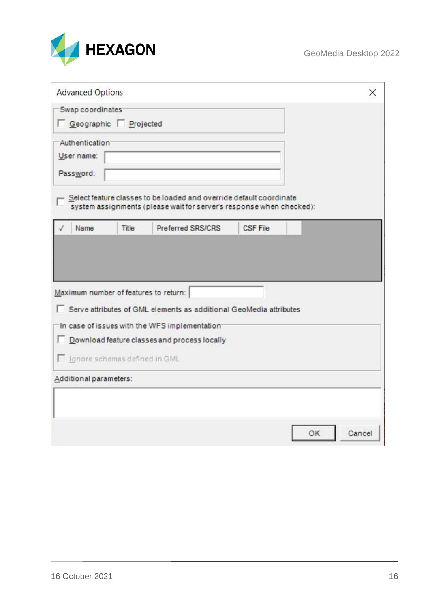

| <b>Advanced Options</b>                   |       |                                                                                                                                             |                 |    | X      |
|-------------------------------------------|-------|---------------------------------------------------------------------------------------------------------------------------------------------|-----------------|----|--------|
| Swap coordinates<br>Geographic Projected  |       |                                                                                                                                             |                 |    |        |
| Authentication<br>User name:<br>Password: |       | Select feature classes to be loaded and override default coordinate<br>system assignments (please wait for server's response when checked): |                 |    |        |
| Name                                      | Title | Preferred SRS/CRS                                                                                                                           | <b>CSF File</b> |    |        |
|                                           |       |                                                                                                                                             |                 |    |        |
| Maximum number of features to return:     |       | □ Serve attributes of GML elements as additional GeoMedia attributes<br>In case of issues with the WFS implementation                       |                 |    |        |
|                                           |       | Download feature classes and process locally                                                                                                |                 |    |        |
| Ignore schemas defined in GML             |       |                                                                                                                                             |                 |    |        |
| Additional parameters:                    |       |                                                                                                                                             |                 |    |        |
|                                           |       |                                                                                                                                             |                 |    |        |
|                                           |       |                                                                                                                                             |                 | OK | Cancel |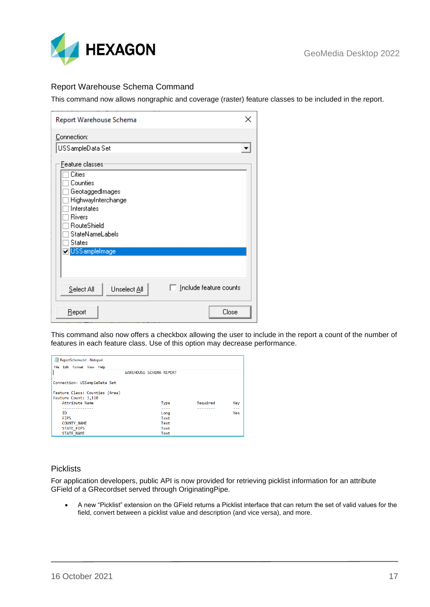

## <span id="page-16-0"></span>Report Warehouse Schema Command

This command now allows nongraphic and coverage (raster) feature classes to be included in the report.

| Report Warehouse Schema                                                                                                                                  |
|----------------------------------------------------------------------------------------------------------------------------------------------------------|
| Connection:                                                                                                                                              |
| USS ampleData Set                                                                                                                                        |
| Feature classes                                                                                                                                          |
| Cities<br>Counties<br>GeotaggedImages<br>HighwayInterchange<br>Interstates<br><b>Rivers</b><br>RouteShield<br>StateNameLabels<br>States<br>USSampleImage |
|                                                                                                                                                          |
|                                                                                                                                                          |
| $\Box$ Include feature counts<br>Unselect All<br>Select All                                                                                              |
| Close<br>Report                                                                                                                                          |

This command also now offers a checkbox allowing the user to include in the report a count of the number of features in each feature class. Use of this option may decrease performance.

| ReportSchema.txt - Notepad     |                                |          |     |
|--------------------------------|--------------------------------|----------|-----|
| File Edit Format View Help     |                                |          |     |
|                                | <b>WAREHOUSE SCHEMA REPORT</b> |          |     |
|                                |                                |          |     |
| Connection: USSampleData Set   |                                |          |     |
|                                |                                |          |     |
| Feature Class: Counties (Area) |                                |          |     |
| Feature Count: 3,110           |                                |          |     |
| Attribute Name                 | <b>Type</b>                    | Required | Key |
| -----------                    | ----                           |          | --- |
| TD.                            | Long                           |          | Yes |
| <b>FIPS</b>                    | Text                           |          |     |
| <b>COUNTY NAME</b>             | Text                           |          |     |
| <b>STATE FIPS</b>              | Text                           |          |     |
| <b>STATE NAME</b>              | Text                           |          |     |

#### <span id="page-16-1"></span>**Picklists**

For application developers, public API is now provided for retrieving picklist information for an attribute GField of a GRecordset served through OriginatingPipe.

• A new "Picklist" extension on the GField returns a Picklist interface that can return the set of valid values for the field, convert between a picklist value and description (and vice versa), and more.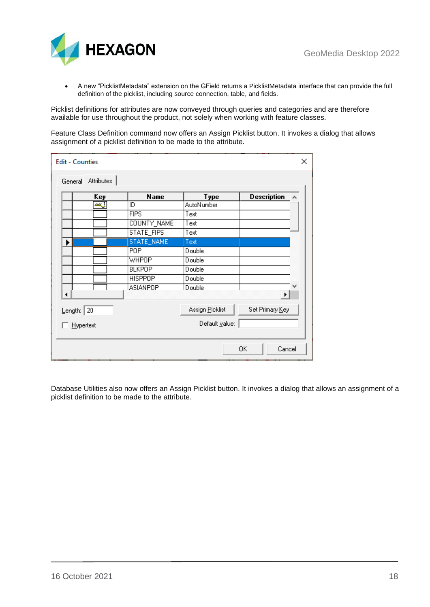

• A new "PicklistMetadata" extension on the GField returns a PicklistMetadata interface that can provide the full definition of the picklist, including source connection, table, and fields.

Picklist definitions for attributes are now conveyed through queries and categories and are therefore available for use throughout the product, not solely when working with feature classes.

Feature Class Definition command now offers an Assign Picklist button. It invokes a dialog that allows assignment of a picklist definition to be made to the attribute.

|   | Key        | <b>Name</b>     | Type              | <b>Description</b> | $\sim$ |
|---|------------|-----------------|-------------------|--------------------|--------|
|   | ليسم       | ID              | <b>AutoNumber</b> |                    |        |
|   |            | <b>FIPS</b>     | Text              |                    |        |
|   |            | COUNTY_NAME     | Text              |                    |        |
|   |            | STATE_FIPS      | Text              |                    |        |
| ▶ |            | STATE_NAME      | Text              |                    |        |
|   |            | P <sub>OP</sub> | Double            |                    |        |
|   |            | <b>WHPOP</b>    | Double            |                    |        |
|   |            | <b>BLKPOP</b>   | Double            |                    |        |
|   |            | <b>HISPPOP</b>  | Double            |                    |        |
|   |            | <b>ASIANPOP</b> | Double,           | ▶                  |        |
|   | Length: 20 |                 | Assign Picklist   | Set Primary Key    |        |
|   | Hypertext  |                 | Default value:    |                    |        |

Database Utilities also now offers an Assign Picklist button. It invokes a dialog that allows an assignment of a picklist definition to be made to the attribute.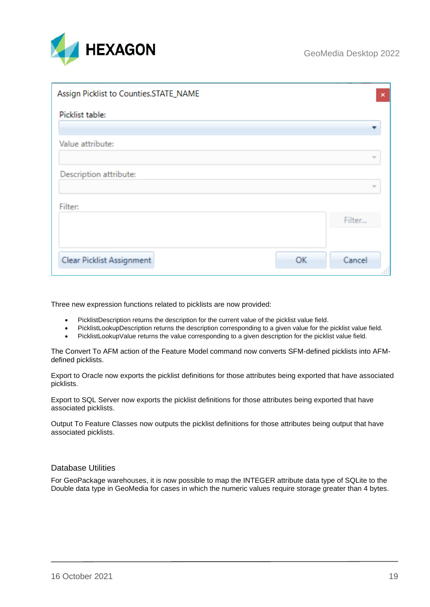

| Assign Picklist to Counties.STATE_NAME | $\mathsf{x}$ |
|----------------------------------------|--------------|
| Picklist table:                        |              |
| Value attribute:                       |              |
| Description attribute:                 |              |
|                                        |              |
| Filter:                                | Filter       |
|                                        |              |
| <b>Clear Picklist Assignment</b><br>OK | Cancel       |

Three new expression functions related to picklists are now provided:

- PicklistDescription returns the description for the current value of the picklist value field.
- PicklistLookupDescription returns the description corresponding to a given value for the picklist value field.
- PicklistLookupValue returns the value corresponding to a given description for the picklist value field.

The Convert To AFM action of the Feature Model command now converts SFM-defined picklists into AFMdefined picklists.

Export to Oracle now exports the picklist definitions for those attributes being exported that have associated picklists.

Export to SQL Server now exports the picklist definitions for those attributes being exported that have associated picklists.

Output To Feature Classes now outputs the picklist definitions for those attributes being output that have associated picklists.

#### <span id="page-18-0"></span>Database Utilities

For GeoPackage warehouses, it is now possible to map the INTEGER attribute data type of SQLite to the Double data type in GeoMedia for cases in which the numeric values require storage greater than 4 bytes.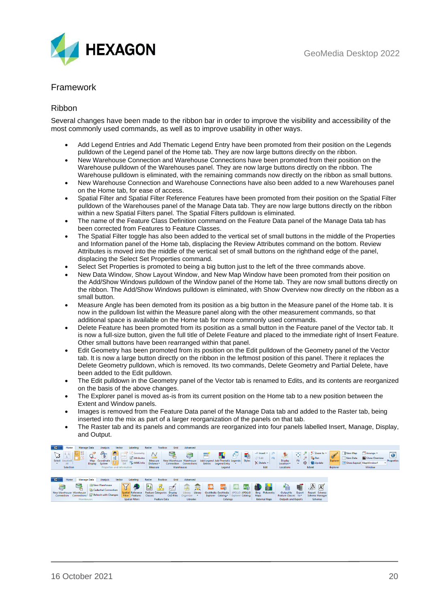

## <span id="page-19-0"></span>Framework

## <span id="page-19-1"></span>Ribbon

Several changes have been made to the ribbon bar in order to improve the visibility and accessibility of the most commonly used commands, as well as to improve usability in other ways.

- Add Legend Entries and Add Thematic Legend Entry have been promoted from their position on the Legends pulldown of the Legend panel of the Home tab. They are now large buttons directly on the ribbon.
- New Warehouse Connection and Warehouse Connections have been promoted from their position on the Warehouse pulldown of the Warehouses panel. They are now large buttons directly on the ribbon. The Warehouse pulldown is eliminated, with the remaining commands now directly on the ribbon as small buttons.
- New Warehouse Connection and Warehouse Connections have also been added to a new Warehouses panel on the Home tab, for ease of access.
- Spatial Filter and Spatial Filter Reference Features have been promoted from their position on the Spatial Filter pulldown of the Warehouses panel of the Manage Data tab. They are now large buttons directly on the ribbon within a new Spatial Filters panel. The Spatial Filters pulldown is eliminated.
- The name of the Feature Class Definition command on the Feature Data panel of the Manage Data tab has been corrected from Features to Feature Classes.
- The Spatial Filter toggle has also been added to the vertical set of small buttons in the middle of the Properties and Information panel of the Home tab, displacing the Review Attributes command on the bottom. Review Attributes is moved into the middle of the vertical set of small buttons on the righthand edge of the panel, displacing the Select Set Properties command.
- Select Set Properties is promoted to being a big button just to the left of the three commands above.
- New Data Window, Show Layout Window, and New Map Window have been promoted from their position on the Add/Show Windows pulldown of the Window panel of the Home tab. They are now small buttons directly on the ribbon. The Add/Show Windows pulldown is eliminated, with Show Overview now directly on the ribbon as a small button.
- Measure Angle has been demoted from its position as a big button in the Measure panel of the Home tab. It is now in the pulldown list within the Measure panel along with the other measurement commands, so that additional space is available on the Home tab for more commonly used commands.
- Delete Feature has been promoted from its position as a small button in the Feature panel of the Vector tab. It is now a full-size button, given the full title of Delete Feature and placed to the immediate right of Insert Feature. Other small buttons have been rearranged within that panel.
- Edit Geometry has been promoted from its position on the Edit pulldown of the Geometry panel of the Vector tab. It is now a large button directly on the ribbon in the leftmost position of this panel. There it replaces the Delete Geometry pulldown, which is removed. Its two commands, Delete Geometry and Partial Delete, have been added to the Edit pulldown.
- The Edit pulldown in the Geometry panel of the Vector tab is renamed to Edits, and its contents are reorganized on the basis of the above changes.
- The Explorer panel is moved as-is from its current position on the Home tab to a new position between the Extent and Window panels.
- Images is removed from the Feature Data panel of the Manage Data tab and added to the Raster tab, being inserted into the mix as part of a larger reorganization of the panels on that tab.
- The Raster tab and its panels and commands are reorganized into four panels labelled Insert, Manage, Display, and Output.

| 旧一   | <b>Manage Data</b><br>Home                                         | Vector<br>Analysis                                                                                  | Labeling                                                                   | Grid<br><b>Toolbox</b><br>Raster                          | Advanced                                                        |                                                                                                                                                                                                                                                                                                                                      |                                                                     |                                                                                            |                                                                       |                                                    |                                                                                                     |
|------|--------------------------------------------------------------------|-----------------------------------------------------------------------------------------------------|----------------------------------------------------------------------------|-----------------------------------------------------------|-----------------------------------------------------------------|--------------------------------------------------------------------------------------------------------------------------------------------------------------------------------------------------------------------------------------------------------------------------------------------------------------------------------------|---------------------------------------------------------------------|--------------------------------------------------------------------------------------------|-----------------------------------------------------------------------|----------------------------------------------------|-----------------------------------------------------------------------------------------------------|
|      | 翻路<br>seem in com-<br>LJ 16<br>Select Unselect<br>All<br>Selection | G<br>$\mathbf{1}$<br>≌-<br>Map Coordinate<br>System<br><b>Display</b><br>Properties and Information | $C$ Geometry<br>Attributes<br>$Select$ $\equiv$<br>Set <b>Ex.</b> WMS Info | Measure<br>Distance-<br>Measure                           | New Warehouse Warehouse<br>Connection Connections<br>Warehouses | t<br>Œ<br>e e controlle de la controlle de la controlle de la controlle de la controlle de la controlle de la controlle de la controlle de la controlle de la controlle de la controlle de la controlle de la controlle de la controlle<br>Add Legend Add Thematic Legends Styles<br><b>Legend Entry</b><br><b>Entries</b><br>Legend | $+$ Insert $-$<br>$\nabla$ Edit<br><b>PSI</b><br>X Delete -<br>Edit | $\overline{a}$<br>$\Rightarrow$<br>μy.<br>Fit<br><b>Display</b><br>Location -<br>Locations | Zoom to -<br>$\Theta$<br><b>Pan</b><br>⊕<br><b>B</b> Update<br>Extent | <b>New Map</b><br>New Data<br>Explorer<br>Explorer | Arrange -<br>$\bullet$<br><b>Ed</b> Show Overview<br>Properties<br>Show Layout MapWindow1<br>Window |
|      |                                                                    |                                                                                                     |                                                                            |                                                           |                                                                 |                                                                                                                                                                                                                                                                                                                                      |                                                                     |                                                                                            |                                                                       |                                                    |                                                                                                     |
| TE - | <b>Manage Data</b><br>Home                                         | Vector<br>Analysis                                                                                  | Labeling                                                                   | Grid<br>Raster<br>Toolbox                                 | Advanced                                                        |                                                                                                                                                                                                                                                                                                                                      |                                                                     |                                                                                            |                                                                       |                                                    |                                                                                                     |
| Ç    | 鱼<br>New Warehouse Warehouse                                       | New Warehouse<br><b>Cadastral Connection</b><br>Connection Connections   SP Refresh with Changes    | Spatial Reference<br>Filter Features                                       | Feature Categories Display<br><b>CAD Files</b><br>Classes | 聖<br>Library<br>Library<br>Organizer<br>. .                     | APOLLO APOLLO<br>GeoMedia GeoMedia<br>Explorer Catalog Explorer Catalog                                                                                                                                                                                                                                                              | <b>Bing</b> Pictometry<br>Maps                                      | 憧<br>Output to<br>Export<br>Feature Classes to                                             | $\mathbb{A}$<br>品<br>Report Schema<br>Schema Manager                  |                                                    |                                                                                                     |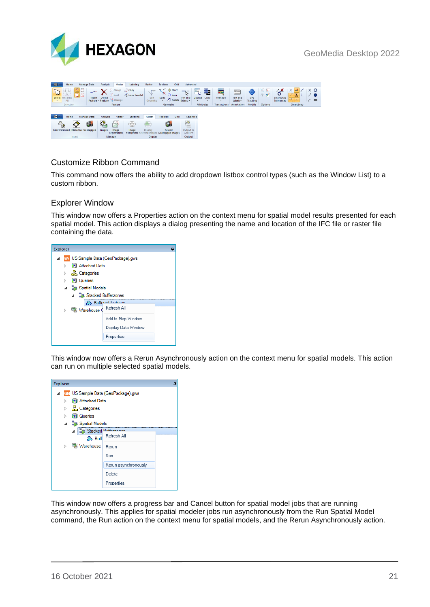



## <span id="page-20-0"></span>Customize Ribbon Command

This command now offers the ability to add dropdown listbox control types (such as the Window List) to a custom ribbon.

## <span id="page-20-1"></span>Explorer Window

This window now offers a Properties action on the context menu for spatial model results presented for each spatial model. This action displays a dialog presenting the name and location of the IFC file or raster file containing the data.



This window now offers a Rerun Asynchronously action on the context menu for spatial models. This action can run on multiple selected spatial models.



This window now offers a progress bar and Cancel button for spatial model jobs that are running asynchronously. This applies for spatial modeler jobs run asynchronously from the Run Spatial Model command, the Run action on the context menu for spatial models, and the Rerun Asynchronously action.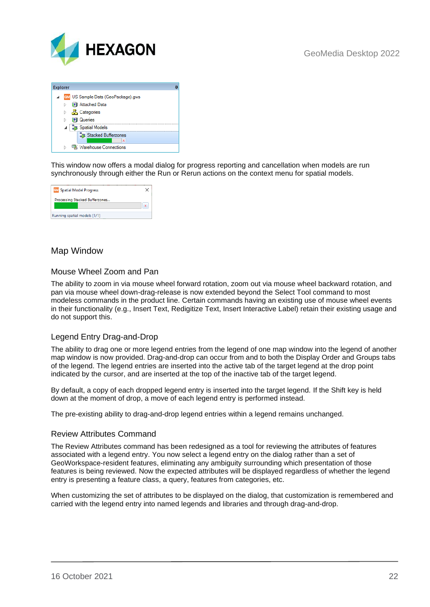



This window now offers a modal dialog for progress reporting and cancellation when models are run synchronously through either the Run or Rerun actions on the context menu for spatial models.

| <b>GM</b> Spatial Model Progress |  |
|----------------------------------|--|
| Processing Stacked Bufferzones   |  |
|                                  |  |
| Running spatial models [1/1]     |  |

## <span id="page-21-0"></span>Map Window

## <span id="page-21-1"></span>Mouse Wheel Zoom and Pan

The ability to zoom in via mouse wheel forward rotation, zoom out via mouse wheel backward rotation, and pan via mouse wheel down-drag-release is now extended beyond the Select Tool command to most modeless commands in the product line. Certain commands having an existing use of mouse wheel events in their functionality (e.g., Insert Text, Redigitize Text, Insert Interactive Label) retain their existing usage and do not support this.

## <span id="page-21-2"></span>Legend Entry Drag-and-Drop

The ability to drag one or more legend entries from the legend of one map window into the legend of another map window is now provided. Drag-and-drop can occur from and to both the Display Order and Groups tabs of the legend. The legend entries are inserted into the active tab of the target legend at the drop point indicated by the cursor, and are inserted at the top of the inactive tab of the target legend.

By default, a copy of each dropped legend entry is inserted into the target legend. If the Shift key is held down at the moment of drop, a move of each legend entry is performed instead.

The pre-existing ability to drag-and-drop legend entries within a legend remains unchanged.

#### <span id="page-21-3"></span>Review Attributes Command

The Review Attributes command has been redesigned as a tool for reviewing the attributes of features associated with a legend entry. You now select a legend entry on the dialog rather than a set of GeoWorkspace-resident features, eliminating any ambiguity surrounding which presentation of those features is being reviewed. Now the expected attributes will be displayed regardless of whether the legend entry is presenting a feature class, a query, features from categories, etc.

When customizing the set of attributes to be displayed on the dialog, that customization is remembered and carried with the legend entry into named legends and libraries and through drag-and-drop.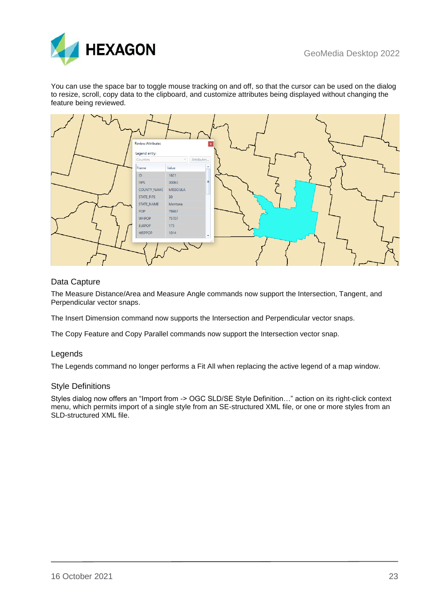

You can use the space bar to toggle mouse tracking on and off, so that the cursor can be used on the dialog to resize, scroll, copy data to the clipboard, and customize attributes being displayed without changing the feature being reviewed.



## <span id="page-22-0"></span>Data Capture

The Measure Distance/Area and Measure Angle commands now support the Intersection, Tangent, and Perpendicular vector snaps.

The Insert Dimension command now supports the Intersection and Perpendicular vector snaps.

The Copy Feature and Copy Parallel commands now support the Intersection vector snap.

#### <span id="page-22-1"></span>Legends

The Legends command no longer performs a Fit All when replacing the active legend of a map window.

#### <span id="page-22-2"></span>Style Definitions

Styles dialog now offers an "Import from -> OGC SLD/SE Style Definition…" action on its right-click context menu, which permits import of a single style from an SE-structured XML file, or one or more styles from an SLD-structured XML file.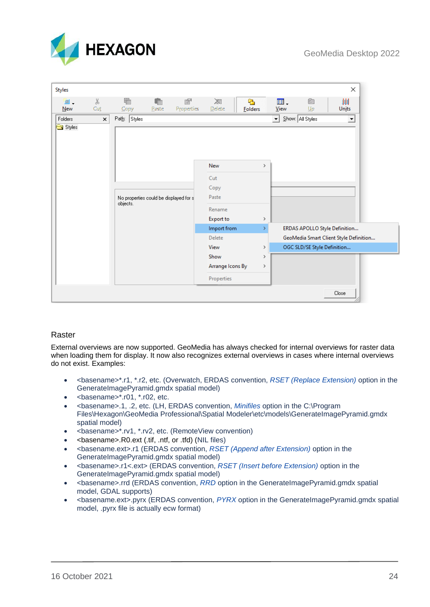

| <b>Styles</b> |                       |              |                                        |                 |                  |                      |               |            |                             | ×                                      |
|---------------|-----------------------|--------------|----------------------------------------|-----------------|------------------|----------------------|---------------|------------|-----------------------------|----------------------------------------|
| È.<br>New     | Y,<br>Cut             | 看<br>Copy    | t<br>Paste                             | 图<br>Properties | ※<br>Delete      | r.<br><b>Folders</b> |               | 囲.<br>View | Ò<br>$U_{\rm P}$            | 剕<br>Units                             |
| Folders       | $\boldsymbol{\times}$ | Path: Styles |                                        |                 |                  |                      |               | $\vert$    | Show: All Styles            | $\blacktriangledown$                   |
| Styles        |                       |              |                                        |                 | <b>New</b>       |                      | $\rightarrow$ |            |                             |                                        |
|               |                       |              |                                        |                 |                  |                      |               |            |                             |                                        |
|               |                       |              |                                        |                 | Cut<br>Copy      |                      |               |            |                             |                                        |
|               |                       | objects.     | No properties could be displayed for s |                 | Paste            |                      |               |            |                             |                                        |
|               |                       |              |                                        |                 | Rename           |                      |               |            |                             |                                        |
|               |                       |              |                                        |                 | <b>Export to</b> |                      | $\rightarrow$ |            |                             |                                        |
|               |                       |              |                                        |                 | Import from      |                      | У             |            |                             | ERDAS APOLLO Style Definition          |
|               |                       |              |                                        |                 | Delete           |                      |               |            |                             | GeoMedia Smart Client Style Definition |
|               |                       |              |                                        |                 | View             |                      | $\rightarrow$ |            | OGC SLD/SE Style Definition |                                        |
|               |                       |              |                                        |                 | Show             |                      | $\rightarrow$ |            |                             |                                        |
|               |                       |              |                                        |                 | Arrange Icons By |                      | $\rightarrow$ |            |                             |                                        |
|               |                       |              |                                        |                 | Properties       |                      |               |            |                             |                                        |
|               |                       |              |                                        |                 |                  |                      |               |            |                             | Close                                  |

## <span id="page-23-0"></span>Raster

External overviews are now supported. GeoMedia has always checked for internal overviews for raster data when loading them for display. It now also recognizes external overviews in cases where internal overviews do not exist. Examples:

- <basename>\*.r1, \*.r2, etc. (Overwatch, ERDAS convention, *RSET (Replace Extension)* option in the GenerateImagePyramid.gmdx spatial model)
- $\bullet$  <br/> <br/> <br/> <br/>
shasename>\*.r01, \*.r02, etc.
- <basename>.1, .2, etc. (LH, ERDAS convention, *Minifiles* option in the C:\Program Files\Hexagon\GeoMedia Professional\Spatial Modeler\etc\models\GenerateImagePyramid.gmdx spatial model)
- <basename>\*.rv1, \*.rv2, etc. (RemoteView convention)
- <basename>.R0.ext (.tif, .ntf, or .tfd) (NIL files)
- <basename.ext>.r1 (ERDAS convention, *RSET (Append after Extension)* option in the GenerateImagePyramid.gmdx spatial model)
- <basename>.r1<.ext> (ERDAS convention, *RSET (Insert before Extension)* option in the GenerateImagePyramid.gmdx spatial model)
- <basename>.rrd (ERDAS convention, *RRD* option in the GenerateImagePyramid.gmdx spatial model, GDAL supports)
- <basename.ext>.pyrx (ERDAS convention, *PYRX* option in the GenerateImagePyramid.gmdx spatial model, .pyrx file is actually ecw format)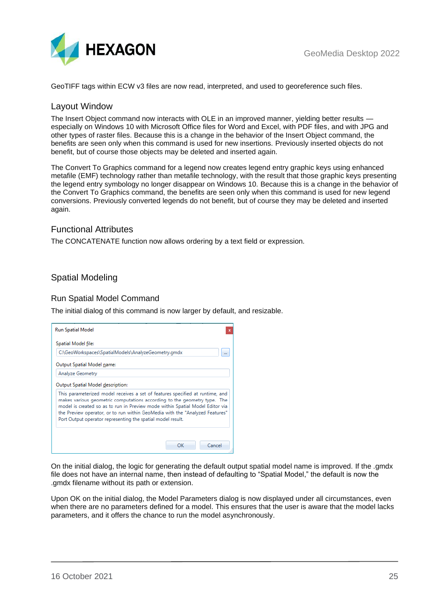

GeoTIFF tags within ECW v3 files are now read, interpreted, and used to georeference such files.

## <span id="page-24-0"></span>Layout Window

The Insert Object command now interacts with OLE in an improved manner, yielding better results especially on Windows 10 with Microsoft Office files for Word and Excel, with PDF files, and with JPG and other types of raster files. Because this is a change in the behavior of the Insert Object command, the benefits are seen only when this command is used for new insertions. Previously inserted objects do not benefit, but of course those objects may be deleted and inserted again.

The Convert To Graphics command for a legend now creates legend entry graphic keys using enhanced metafile (EMF) technology rather than metafile technology, with the result that those graphic keys presenting the legend entry symbology no longer disappear on Windows 10. Because this is a change in the behavior of the Convert To Graphics command, the benefits are seen only when this command is used for new legend conversions. Previously converted legends do not benefit, but of course they may be deleted and inserted again.

## <span id="page-24-1"></span>Functional Attributes

The CONCATENATE function now allows ordering by a text field or expression.

## <span id="page-24-2"></span>Spatial Modeling

#### <span id="page-24-3"></span>Run Spatial Model Command

The initial dialog of this command is now larger by default, and resizable.

| <b>Run Spatial Model</b>                                                                                                                                                                                                                                                                                                                                                                  |  |
|-------------------------------------------------------------------------------------------------------------------------------------------------------------------------------------------------------------------------------------------------------------------------------------------------------------------------------------------------------------------------------------------|--|
| Spatial Model file:                                                                                                                                                                                                                                                                                                                                                                       |  |
| C:\GeoWorkspaces\SpatialModels\AnalyzeGeometry.gmdx                                                                                                                                                                                                                                                                                                                                       |  |
| Output Spatial Model name:                                                                                                                                                                                                                                                                                                                                                                |  |
| Analyze Geometry                                                                                                                                                                                                                                                                                                                                                                          |  |
| Output Spatial Model description:                                                                                                                                                                                                                                                                                                                                                         |  |
| This parameterized model receives a set of features specified at runtime, and<br>makes various geometric computations according to the geometry type. The<br>model is created so as to run in Preview mode within Spatial Model Editor via<br>the Preview operator, or to run within GeoMedia with the "Analyzed Features"<br>Port Output operator representing the spatial model result. |  |
| Cancel<br>OK                                                                                                                                                                                                                                                                                                                                                                              |  |

On the initial dialog, the logic for generating the default output spatial model name is improved. If the .gmdx file does not have an internal name, then instead of defaulting to "Spatial Model," the default is now the .gmdx filename without its path or extension.

Upon OK on the initial dialog, the Model Parameters dialog is now displayed under all circumstances, even when there are no parameters defined for a model. This ensures that the user is aware that the model lacks parameters, and it offers the chance to run the model asynchronously.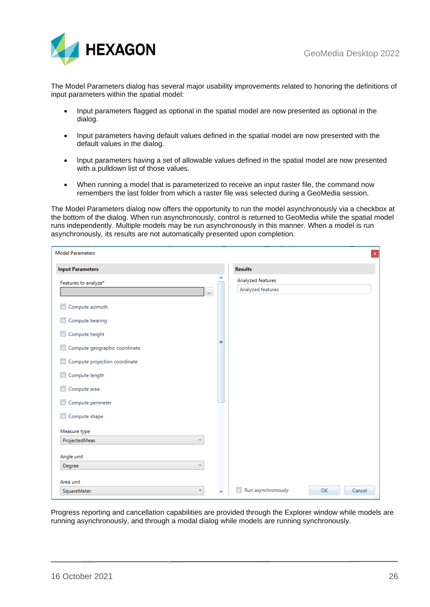

The Model Parameters dialog has several major usability improvements related to honoring the definitions of input parameters within the spatial model:

- Input parameters flagged as optional in the spatial model are now presented as optional in the dialog.
- Input parameters having default values defined in the spatial model are now presented with the default values in the dialog.
- Input parameters having a set of allowable values defined in the spatial model are now presented with a pulldown list of those values.
- When running a model that is parameterized to receive an input raster file, the command now remembers the last folder from which a raster file was selected during a GeoMedia session.

The Model Parameters dialog now offers the opportunity to run the model asynchronously via a checkbox at the bottom of the dialog. When run asynchronously, control is returned to GeoMedia while the spatial model runs independently. Multiple models may be run asynchronously in this manner. When a model is run asynchronously, its results are not automatically presented upon completion.

| <b>Model Parameters</b>       |   |                                        | $\mathbf{x}$ |
|-------------------------------|---|----------------------------------------|--------------|
| <b>Input Parameters</b>       |   | <b>Results</b>                         |              |
| Features to analyze*<br>m.    |   | Analyzed features<br>Analyzed features |              |
| Compute azimuth               |   |                                        |              |
| Compute bearing               |   |                                        |              |
| Compute height                |   |                                        |              |
| Compute geographic coordinate | Ξ |                                        |              |
| Compute projection coordinate |   |                                        |              |
| Compute length                |   |                                        |              |
| Compute area                  |   |                                        |              |
| Compute perimeter             |   |                                        |              |
| Compute shape                 |   |                                        |              |
| Measure type                  |   |                                        |              |
| ProjectedMeas<br>v            |   |                                        |              |
| Angle unit                    |   |                                        |              |
| Degree<br>$\sim$              |   |                                        |              |
| Area unit                     |   |                                        |              |
| SquareMeter<br>٧              |   | $\Box$<br>Run asynchronously           | OK<br>Cancel |

Progress reporting and cancellation capabilities are provided through the Explorer window while models are running asynchronously, and through a modal dialog while models are running synchronously.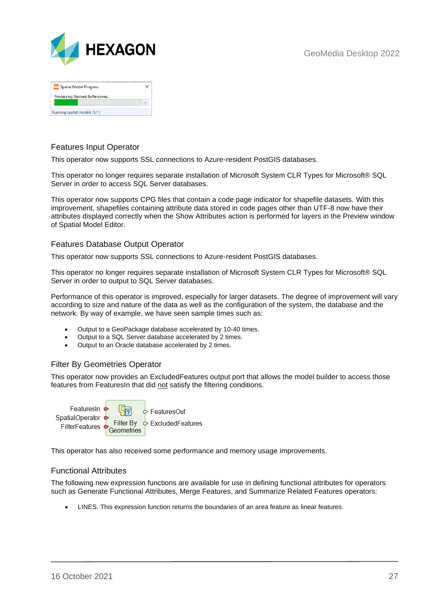

| <b>GM</b> Spatial Model Progress |  |
|----------------------------------|--|
| Processing Stacked Bufferzones   |  |
| Running spatial models [1/1]     |  |

## <span id="page-26-0"></span>Features Input Operator

This operator now supports SSL connections to Azure-resident PostGIS databases.

This operator no longer requires separate installation of Microsoft System CLR Types for Microsoft® SQL Server in order to access SQL Server databases.

This operator now supports CPG files that contain a code page indicator for shapefile datasets. With this improvement, shapefiles containing attribute data stored in code pages other than UTF-8 now have their attributes displayed correctly when the Show Attributes action is performed for layers in the Preview window of Spatial Model Editor.

## <span id="page-26-1"></span>Features Database Output Operator

This operator now supports SSL connections to Azure-resident PostGIS databases.

This operator no longer requires separate installation of Microsoft System CLR Types for Microsoft® SQL Server in order to output to SQL Server databases.

Performance of this operator is improved, especially for larger datasets. The degree of improvement will vary according to size and nature of the data as well as the configuration of the system, the database and the network. By way of example, we have seen sample times such as:

- Output to a GeoPackage database accelerated by 10-40 times.
- Output to a SQL Server database accelerated by 2 times.
- Output to an Oracle database accelerated by 2 times.

## <span id="page-26-2"></span>Filter By Geometries Operator

This operator now provides an ExcludedFeatures output port that allows the model builder to access those features from FeaturesIn that did not satisfy the filtering conditions.



This operator has also received some performance and memory usage improvements.

#### <span id="page-26-3"></span>Functional Attributes

The following new expression functions are available for use in defining functional attributes for operators such as Generate Functional Attributes, Merge Features, and Summarize Related Features operators:

• LINES. This expression function returns the boundaries of an area feature as linear features.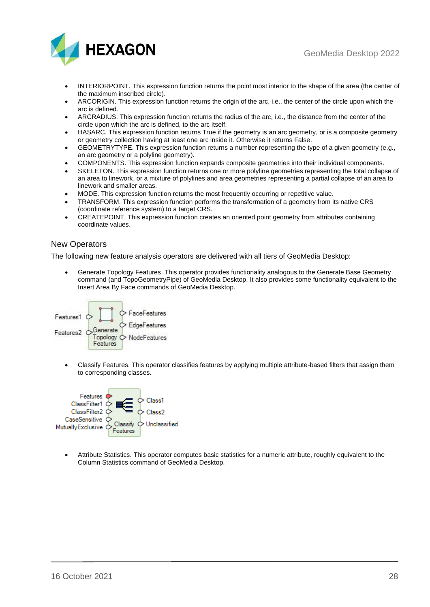



- INTERIORPOINT. This expression function returns the point most interior to the shape of the area (the center of the maximum inscribed circle).
- ARCORIGIN. This expression function returns the origin of the arc, i.e., the center of the circle upon which the arc is defined.
- ARCRADIUS. This expression function returns the radius of the arc, i.e., the distance from the center of the circle upon which the arc is defined, to the arc itself.
- HASARC. This expression function returns True if the geometry is an arc geometry, or is a composite geometry or geometry collection having at least one arc inside it. Otherwise it returns False.
- GEOMETRYTYPE. This expression function returns a number representing the type of a given geometry (e.g., an arc geometry or a polyline geometry).
- COMPONENTS. This expression function expands composite geometries into their individual components.
- SKELETON. This expression function returns one or more polyline geometries representing the total collapse of an area to linework, or a mixture of polylines and area geometries representing a partial collapse of an area to linework and smaller areas.
- MODE. This expression function returns the most frequently occurring or repetitive value.
- TRANSFORM. This expression function performs the transformation of a geometry from its native CRS (coordinate reference system) to a target CRS.
- CREATEPOINT. This expression function creates an oriented point geometry from attributes containing coordinate values.

## <span id="page-27-0"></span>New Operators

The following new feature analysis operators are delivered with all tiers of GeoMedia Desktop:

• Generate Topology Features. This operator provides functionality analogous to the Generate Base Geometry command (and TopoGeometryPipe) of GeoMedia Desktop. It also provides some functionality equivalent to the Insert Area By Face commands of GeoMedia Desktop.



• Classify Features. This operator classifies features by applying multiple attribute-based filters that assign them to corresponding classes.



• Attribute Statistics. This operator computes basic statistics for a numeric attribute, roughly equivalent to the Column Statistics command of GeoMedia Desktop.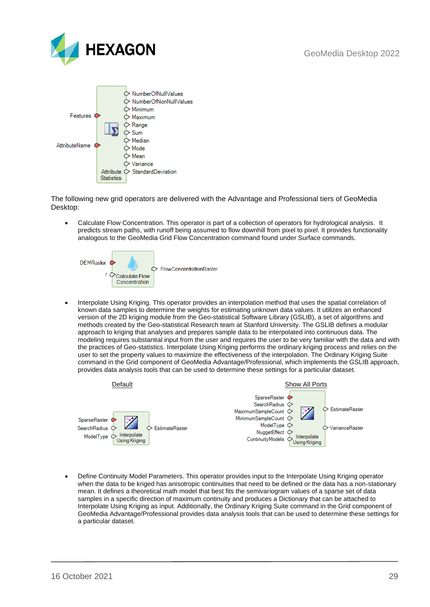



The following new grid operators are delivered with the Advantage and Professional tiers of GeoMedia Desktop:

• Calculate Flow Concentration. This operator is part of a collection of operators for hydrological analysis. It predicts stream paths, with runoff being assumed to flow downhill from pixel to pixel. It provides functionality analogous to the GeoMedia Grid Flow Concentration command found under Surface commands.



• Interpolate Using Kriging. This operator provides an interpolation method that uses the spatial correlation of known data samples to determine the weights for estimating unknown data values. It utilizes an enhanced version of the 2D kriging module from the Geo-statistical Software Library (GSLIB), a set of algorithms and methods created by the Geo-statistical Research team at Stanford University. The GSLIB defines a modular approach to kriging that analyses and prepares sample data to be interpolated into continuous data. The modeling requires substantial input from the user and requires the user to be very familiar with the data and with the practices of Geo-statistics. Interpolate Using Kriging performs the ordinary kriging process and relies on the user to set the property values to maximize the effectiveness of the interpolation. The Ordinary Kriging Suite command in the Grid component of GeoMedia Advantage/Professional, which implements the GSLIB approach, provides data analysis tools that can be used to determine these settings for a particular dataset.



• Define Continuity Model Parameters. This operator provides input to the Interpolate Using Kriging operator when the data to be kriged has anisotropic continuities that need to be defined or the data has a non-stationary mean. It defines a theoretical math model that best fits the semivariogram values of a sparse set of data samples in a specific direction of maximum continuity and produces a Dictionary that can be attached to Interpolate Using Kriging as input. Additionally, the Ordinary Kriging Suite command in the Grid component of GeoMedia Advantage/Professional provides data analysis tools that can be used to determine these settings for a particular dataset.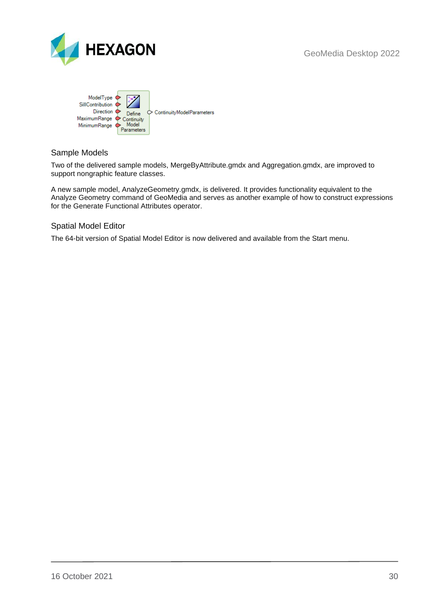



## <span id="page-29-0"></span>Sample Models

Two of the delivered sample models, MergeByAttribute.gmdx and Aggregation.gmdx, are improved to support nongraphic feature classes.

A new sample model, AnalyzeGeometry.gmdx, is delivered. It provides functionality equivalent to the Analyze Geometry command of GeoMedia and serves as another example of how to construct expressions for the Generate Functional Attributes operator.

## <span id="page-29-1"></span>Spatial Model Editor

The 64-bit version of Spatial Model Editor is now delivered and available from the Start menu.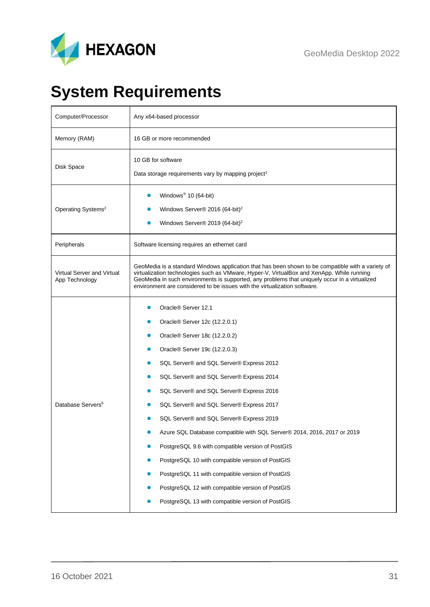

# <span id="page-30-0"></span>**System Requirements**

| Computer/Processor                           | Any x64-based processor                                                                                                                                                                                                                                                                                                                                                                                                                                                                                                                                                                                                                                                                                        |
|----------------------------------------------|----------------------------------------------------------------------------------------------------------------------------------------------------------------------------------------------------------------------------------------------------------------------------------------------------------------------------------------------------------------------------------------------------------------------------------------------------------------------------------------------------------------------------------------------------------------------------------------------------------------------------------------------------------------------------------------------------------------|
| Memory (RAM)                                 | 16 GB or more recommended                                                                                                                                                                                                                                                                                                                                                                                                                                                                                                                                                                                                                                                                                      |
| Disk Space                                   | 10 GB for software<br>Data storage requirements vary by mapping project <sup>1</sup>                                                                                                                                                                                                                                                                                                                                                                                                                                                                                                                                                                                                                           |
| Operating Systems <sup>2</sup>               | Windows <sup>®</sup> 10 (64-bit)<br>Windows Server® 2016 (64-bit) <sup>2</sup><br>Windows Server® 2019 (64-bit) <sup>2</sup><br>O                                                                                                                                                                                                                                                                                                                                                                                                                                                                                                                                                                              |
| Peripherals                                  | Software licensing requires an ethernet card                                                                                                                                                                                                                                                                                                                                                                                                                                                                                                                                                                                                                                                                   |
| Virtual Server and Virtual<br>App Technology | GeoMedia is a standard Windows application that has been shown to be compatible with a variety of<br>virtualization technologies such as VMware, Hyper-V, VirtualBox and XenApp. While running<br>GeoMedia in such environments is supported, any problems that uniquely occur in a virtualized<br>environment are considered to be issues with the virtualization software.                                                                                                                                                                                                                                                                                                                                   |
| Database Servers <sup>6</sup>                | Oracle® Server 12.1<br>Oracle <sup>®</sup> Server 12c (12.2.0.1)<br>Oracle® Server 18c (12.2.0.2)<br>Oracle® Server 19c (12.2.0.3)<br>SQL Server® and SQL Server® Express 2012<br>SQL Server® and SQL Server® Express 2014<br>SQL Server® and SQL Server® Express 2016<br>SQL Server® and SQL Server® Express 2017<br>SQL Server® and SQL Server® Express 2019<br>Azure SQL Database compatible with SQL Server® 2014, 2016, 2017 or 2019<br>PostgreSQL 9.6 with compatible version of PostGIS<br>PostgreSQL 10 with compatible version of PostGIS<br>PostgreSQL 11 with compatible version of PostGIS<br>PostgreSQL 12 with compatible version of PostGIS<br>PostgreSQL 13 with compatible version of PostGIS |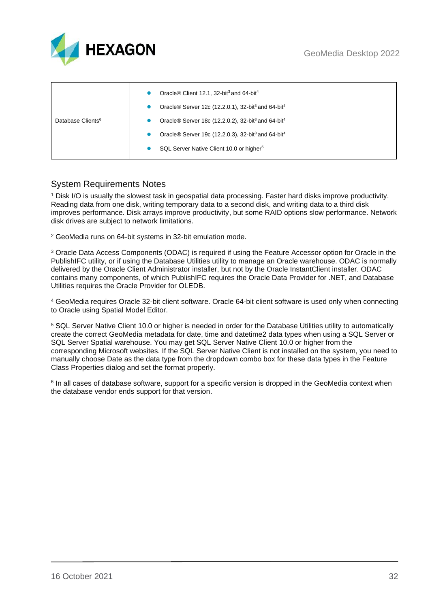

|                               | Oracle <sup>®</sup> Client 12.1, 32-bit <sup>3</sup> and 64-bit <sup>4</sup>           |
|-------------------------------|----------------------------------------------------------------------------------------|
|                               | Oracle <sup>®</sup> Server 12c (12.2.0.1), 32-bit <sup>3</sup> and 64-bit <sup>4</sup> |
| Database Clients <sup>6</sup> | Oracle <sup>®</sup> Server 18c (12.2.0.2), 32-bit <sup>3</sup> and 64-bit <sup>4</sup> |
|                               | Oracle® Server 19c (12.2.0.3), 32-bit <sup>3</sup> and 64-bit <sup>4</sup>             |
|                               | SQL Server Native Client 10.0 or higher <sup>5</sup>                                   |

## <span id="page-31-0"></span>System Requirements Notes

<sup>1</sup> Disk I/O is usually the slowest task in geospatial data processing. Faster hard disks improve productivity. Reading data from one disk, writing temporary data to a second disk, and writing data to a third disk improves performance. Disk arrays improve productivity, but some RAID options slow performance. Network disk drives are subject to network limitations.

<sup>2</sup> GeoMedia runs on 64-bit systems in 32-bit emulation mode.

<sup>3</sup> Oracle Data Access Components (ODAC) is required if using the Feature Accessor option for Oracle in the PublishIFC utility, or if using the Database Utilities utility to manage an Oracle warehouse. ODAC is normally delivered by the Oracle Client Administrator installer, but not by the Oracle InstantClient installer. ODAC contains many components, of which PublishIFC requires the Oracle Data Provider for .NET, and Database Utilities requires the Oracle Provider for OLEDB.

<sup>4</sup> GeoMedia requires Oracle 32-bit client software. Oracle 64-bit client software is used only when connecting to Oracle using Spatial Model Editor.

<sup>5</sup> SQL Server Native Client 10.0 or higher is needed in order for the Database Utilities utility to automatically create the correct GeoMedia metadata for date, time and datetime2 data types when using a SQL Server or SQL Server Spatial warehouse. You may get SQL Server Native Client 10.0 or higher from the corresponding Microsoft websites. If the SQL Server Native Client is not installed on the system, you need to manually choose Date as the data type from the dropdown combo box for these data types in the Feature Class Properties dialog and set the format properly.

6 In all cases of database software, support for a specific version is dropped in the GeoMedia context when the database vendor ends support for that version.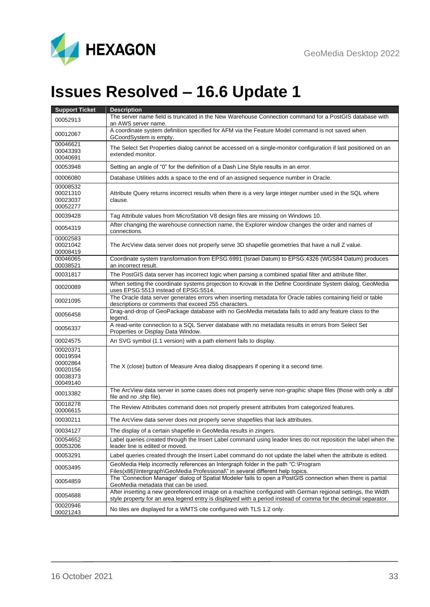

<span id="page-32-0"></span>

| <b>Support Ticket</b>                                                | <b>Description</b>                                                                                                                                                                                                           |
|----------------------------------------------------------------------|------------------------------------------------------------------------------------------------------------------------------------------------------------------------------------------------------------------------------|
| 00052913                                                             | The server name field is truncated in the New Warehouse Connection command for a PostGIS database with<br>an AWS server name.                                                                                                |
| 00012067                                                             | A coordinate system definition specified for AFM via the Feature Model command is not saved when<br>GCoordSystem is empty.                                                                                                   |
| 00046621<br>00043393<br>00040691                                     | The Select Set Properties dialog cannot be accessed on a single-monitor configuration if last positioned on an<br>extended monitor.                                                                                          |
| 00053948                                                             | Setting an angle of "0" for the definition of a Dash Line Style results in an error.                                                                                                                                         |
| 00006080                                                             | Database Utilities adds a space to the end of an assigned sequence number in Oracle.                                                                                                                                         |
| 00008532<br>00021310<br>00023037<br>00052277                         | Attribute Query returns incorrect results when there is a very large integer number used in the SQL where<br>clause.                                                                                                         |
| 00039428                                                             | Tag Attribute values from MicroStation V8 design files are missing on Windows 10.                                                                                                                                            |
| 00054319                                                             | After changing the warehouse connection name, the Explorer window changes the order and names of<br>connections.                                                                                                             |
| 00002583<br>00021042<br>00008419                                     | The ArcView data server does not properly serve 3D shapefile geometries that have a null Z value.                                                                                                                            |
| 00046065<br>00038521                                                 | Coordinate system transformation from EPSG:6991 (Israel Datum) to EPSG:4326 (WGS84 Datum) produces<br>an incorrect result.                                                                                                   |
| 00031817                                                             | The PostGIS data server has incorrect logic when parsing a combined spatial filter and attribute filter.                                                                                                                     |
| 00020089                                                             | When setting the coordinate systems projection to Krovak in the Define Coordinate System dialog, GeoMedia<br>uses EPSG:5513 instead of EPSG:5514.                                                                            |
| 00021095                                                             | The Oracle data server generates errors when inserting metadata for Oracle tables containing field or table<br>descriptions or comments that exceed 255 characters.                                                          |
| 00056458                                                             | Drag-and-drop of GeoPackage database with no GeoMedia metadata fails to add any feature class to the<br>legend.                                                                                                              |
| 00056337                                                             | A read-write connection to a SQL Server database with no metadata results in errors from Select Set<br>Properties or Display Data Window.                                                                                    |
| 00024575                                                             | An SVG symbol (1.1 version) with a path element fails to display.                                                                                                                                                            |
| 00020371<br>00019594<br>00002864<br>00020156<br>00038373<br>00049140 | The X (close) button of Measure Area dialog disappears if opening it a second time.                                                                                                                                          |
| 00013382                                                             | The ArcView data server in some cases does not properly serve non-graphic shape files (those with only a .dbf<br>file and no .shp file).                                                                                     |
| 00018278<br>00006615                                                 | The Review Attributes command does not properly present attributes from categorized features.                                                                                                                                |
| 00030211                                                             | The ArcView data server does not properly serve shapefiles that lack attributes.                                                                                                                                             |
| 00034127                                                             | The display of a certain shapefile in GeoMedia results in zingers.                                                                                                                                                           |
| 00054652<br>00053206                                                 | Label queries created through the Insert Label command using leader lines do not reposition the label when the<br>leader line is edited or moved.                                                                            |
| 00053291                                                             | Label queries created through the Insert Label command do not update the label when the attribute is edited.                                                                                                                 |
| 00053495                                                             | GeoMedia Help incorrectly references an Intergraph folder in the path "C:\Program<br>Files(x86)\Intergraph\GeoMedia Professional\" in several different help topics.                                                         |
| 00054859                                                             | The 'Connection Manager' dialog of Spatial Modeler fails to open a PostGIS connection when there is partial<br>GeoMedia metadata that can be used.                                                                           |
| 00054688                                                             | After inserting a new georeferenced image on a machine configured with German regional settings, the Width<br>style property for an area legend entry is displayed with a period instead of comma for the decimal separator. |
| 00020946<br>00021243                                                 | No tiles are displayed for a WMTS cite configured with TLS 1.2 only.                                                                                                                                                         |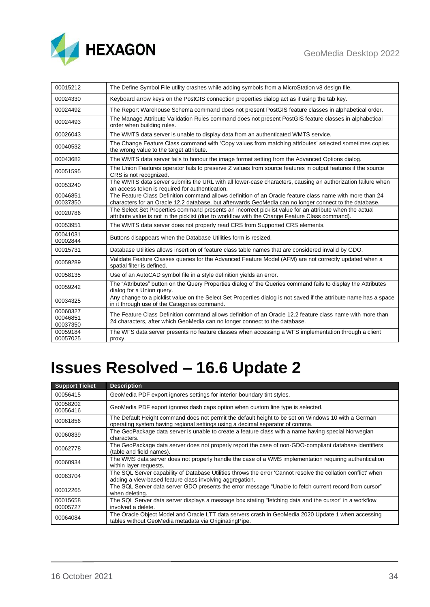

| 00015212                         | The Define Symbol File utility crashes while adding symbols from a MicroStation v8 design file.                                                                                                                    |
|----------------------------------|--------------------------------------------------------------------------------------------------------------------------------------------------------------------------------------------------------------------|
| 00024330                         | Keyboard arrow keys on the PostGIS connection properties dialog act as if using the tab key.                                                                                                                       |
| 00024492                         | The Report Warehouse Schema command does not present PostGIS feature classes in alphabetical order.                                                                                                                |
| 00024493                         | The Manage Attribute Validation Rules command does not present PostGIS feature classes in alphabetical<br>order when building rules.                                                                               |
| 00026043                         | The WMTS data server is unable to display data from an authenticated WMTS service.                                                                                                                                 |
| 00040532                         | The Change Feature Class command with 'Copy values from matching attributes' selected sometimes copies<br>the wrong value to the target attribute.                                                                 |
| 00043682                         | The WMTS data server fails to honour the image format setting from the Advanced Options dialog.                                                                                                                    |
| 00051595                         | The Union Features operator fails to preserve Z values from source features in output features if the source<br>CRS is not recognized.                                                                             |
| 00053240                         | The WMTS data server submits the URL with all lower-case characters, causing an authorization failure when<br>an access token is required for authentication.                                                      |
| 00046851<br>00037350             | The Feature Class Definition command allows definition of an Oracle feature class name with more than 24<br>characters for an Oracle 12.2 database, but afterwards GeoMedia can no longer connect to the database. |
| 00020786                         | The Select Set Properties command presents an incorrect picklist value for an attribute when the actual<br>attribute value is not in the picklist (due to workflow with the Change Feature Class command).         |
| 00053951                         | The WMTS data server does not properly read CRS from Supported CRS elements.                                                                                                                                       |
| 00041031<br>00002844             | Buttons disappears when the Database Utilities form is resized.                                                                                                                                                    |
| 00015731                         | Database Utilities allows insertion of feature class table names that are considered invalid by GDO.                                                                                                               |
| 00059289                         | Validate Feature Classes queries for the Advanced Feature Model (AFM) are not correctly updated when a<br>spatial filter is defined.                                                                               |
| 00058135                         | Use of an AutoCAD symbol file in a style definition yields an error.                                                                                                                                               |
| 00059242                         | The "Attributes" button on the Query Properties dialog of the Queries command fails to display the Attributes<br>dialog for a Union query.                                                                         |
| 00034325                         | Any change to a picklist value on the Select Set Properties dialog is not saved if the attribute name has a space<br>in it through use of the Categories command.                                                  |
| 00060327<br>00046851<br>00037350 | The Feature Class Definition command allows definition of an Oracle 12.2 feature class name with more than<br>24 characters, after which GeoMedia can no longer connect to the database.                           |
| 00059184<br>00057025             | The WFS data server presents no feature classes when accessing a WFS implementation through a client<br>proxy.                                                                                                     |

<span id="page-33-0"></span>

| <b>Support Ticket</b> | <b>Description</b>                                                                                                                                                                   |
|-----------------------|--------------------------------------------------------------------------------------------------------------------------------------------------------------------------------------|
| 00056415              | GeoMedia PDF export ignores settings for interior boundary tint styles.                                                                                                              |
| 00058202<br>00056416  | GeoMedia PDF export ignores dash caps option when custom line type is selected.                                                                                                      |
| 00061856              | The Default Height command does not permit the default height to be set on Windows 10 with a German<br>operating system having regional settings using a decimal separator of comma. |
| 00060839              | The GeoPackage data server is unable to create a feature class with a name having special Norwegian<br>characters.                                                                   |
| 00062778              | The GeoPackage data server does not properly report the case of non-GDO-compliant database identifiers<br>(table and field names).                                                   |
| 00060934              | The WMS data server does not properly handle the case of a WMS implementation requiring authentication<br>within layer requests.                                                     |
| 00063704              | The SQL Server capability of Database Utilities throws the error 'Cannot resolve the collation conflict' when<br>adding a view-based feature class involving aggregation.            |
| 00012265              | The SQL Server data server GDO presents the error message "Unable to fetch current record from cursor"<br>when deleting.                                                             |
| 00015658<br>00005727  | The SQL Server data server displays a message box stating "fetching data and the cursor" in a workflow<br>involved a delete.                                                         |
| 00064084              | The Oracle Object Model and Oracle LTT data servers crash in GeoMedia 2020 Update 1 when accessing<br>tables without GeoMedia metadata via OriginatingPipe.                          |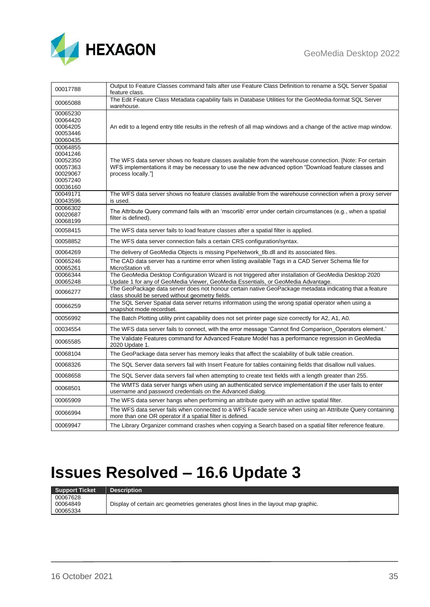

| 00017788                                                                         | Output to Feature Classes command fails after use Feature Class Definition to rename a SQL Server Spatial<br>feature class.                                                                                                            |
|----------------------------------------------------------------------------------|----------------------------------------------------------------------------------------------------------------------------------------------------------------------------------------------------------------------------------------|
| 00065088                                                                         | The Edit Feature Class Metadata capability fails in Database Utilities for the GeoMedia-format SQL Server<br>warehouse.                                                                                                                |
| 00065230<br>00064420<br>00064205<br>00053446<br>00060435                         | An edit to a legend entry title results in the refresh of all map windows and a change of the active map window.                                                                                                                       |
| 00064855<br>00041246<br>00052350<br>00057363<br>00029067<br>00057240<br>00036160 | The WFS data server shows no feature classes available from the warehouse connection. [Note: For certain<br>WFS implementations it may be necessary to use the new advanced option "Download feature classes and<br>process locally."] |
| 00049171<br>00043596                                                             | The WFS data server shows no feature classes available from the warehouse connection when a proxy server<br>is used.                                                                                                                   |
| 00066302<br>00020687<br>00068199                                                 | The Attribute Query command fails with an 'mscorlib' error under certain circumstances (e.g., when a spatial<br>filter is defined).                                                                                                    |
| 00058415                                                                         | The WFS data server fails to load feature classes after a spatial filter is applied.                                                                                                                                                   |
| 00058852                                                                         | The WFS data server connection fails a certain CRS configuration/syntax.                                                                                                                                                               |
| 00064269                                                                         | The delivery of GeoMedia Objects is missing PipeNetwork_tlb.dll and its associated files.                                                                                                                                              |
| 00065246<br>00065261                                                             | The CAD data server has a runtime error when listing available Tags in a CAD Server Schema file for<br>MicroStation v8.                                                                                                                |
| 00066344<br>00065248                                                             | The GeoMedia Desktop Configuration Wizard is not triggered after installation of GeoMedia Desktop 2020<br>Update 1 for any of GeoMedia Viewer, GeoMedia Essentials, or GeoMedia Advantage.                                             |
| 00066277                                                                         | The GeoPackage data server does not honour certain native GeoPackage metadata indicating that a feature<br>class should be served without geometry fields.                                                                             |
| 00066259                                                                         | The SQL Server Spatial data server returns information using the wrong spatial operator when using a<br>snapshot mode recordset.                                                                                                       |
| 00056992                                                                         | The Batch Plotting utility print capability does not set printer page size correctly for A2, A1, A0.                                                                                                                                   |
| 00034554                                                                         | The WFS data server fails to connect, with the error message 'Cannot find Comparison Operators element.'                                                                                                                               |
| 00065585                                                                         | The Validate Features command for Advanced Feature Model has a performance regression in GeoMedia<br>2020 Update 1.                                                                                                                    |
| 00068104                                                                         | The GeoPackage data server has memory leaks that affect the scalability of bulk table creation.                                                                                                                                        |
| 00068326                                                                         | The SQL Server data servers fail with Insert Feature for tables containing fields that disallow null values.                                                                                                                           |
| 00068658                                                                         | The SQL Server data servers fail when attempting to create text fields with a length greater than 255.                                                                                                                                 |
| 00068501                                                                         | The WMTS data server hangs when using an authenticated service implementation if the user fails to enter<br>username and password credentials on the Advanced dialog.                                                                  |
| 00065909                                                                         | The WFS data server hangs when performing an attribute query with an active spatial filter.                                                                                                                                            |
| 00066994                                                                         | The WFS data server fails when connected to a WFS Facade service when using an Attribute Query containing<br>more than one OR operator if a spatial filter is defined.                                                                 |
| 00069947                                                                         | The Library Organizer command crashes when copying a Search based on a spatial filter reference feature.                                                                                                                               |

<span id="page-34-0"></span>

| <b>Support Ticket</b> | <b>Description</b>                                                                 |
|-----------------------|------------------------------------------------------------------------------------|
| 00067628              |                                                                                    |
| 00064849              | Display of certain arc geometries generates ghost lines in the layout map graphic. |
| 00065334              |                                                                                    |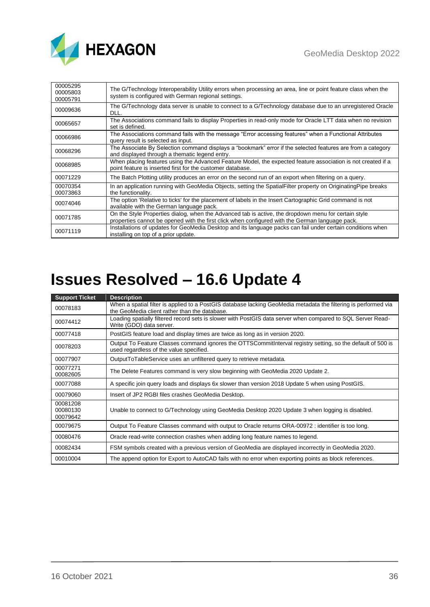

| 00005295<br>00005803<br>00005791 | The G/Technology Interoperability Utility errors when processing an area, line or point feature class when the<br>system is configured with German regional settings.                                   |
|----------------------------------|---------------------------------------------------------------------------------------------------------------------------------------------------------------------------------------------------------|
| 00009636                         | The G/Technology data server is unable to connect to a G/Technology database due to an unregistered Oracle<br>DLL.                                                                                      |
| 00065657                         | The Associations command fails to display Properties in read-only mode for Oracle LTT data when no revision<br>set is defined.                                                                          |
| 00066986                         | The Associations command fails with the message "Error accessing features" when a Functional Attributes<br>query result is selected as input.                                                           |
| 00068296                         | The Associate By Selection command displays a "bookmark" error if the selected features are from a category<br>and displayed through a thematic legend entry.                                           |
| 00068985                         | When placing features using the Advanced Feature Model, the expected feature association is not created if a<br>point feature is inserted first for the customer database.                              |
| 00071229                         | The Batch Plotting utility produces an error on the second run of an export when filtering on a query.                                                                                                  |
| 00070354<br>00073863             | In an application running with GeoMedia Objects, setting the SpatialFilter property on OriginatingPipe breaks<br>the functionality.                                                                     |
| 00074046                         | The option 'Relative to ticks' for the placement of labels in the Insert Cartographic Grid command is not<br>available with the German language pack.                                                   |
| 00071785                         | On the Style Properties dialog, when the Advanced tab is active, the dropdown menu for certain style<br>properties cannot be opened with the first click when configured with the German language pack. |
| 00071119                         | Installations of updates for GeoMedia Desktop and its language packs can fail under certain conditions when<br>installing on top of a prior update.                                                     |

<span id="page-35-0"></span>

| <b>Support Ticket</b>            | <b>Description</b>                                                                                                                                               |
|----------------------------------|------------------------------------------------------------------------------------------------------------------------------------------------------------------|
| 00078183                         | When a spatial filter is applied to a PostGIS database lacking GeoMedia metadata the filtering is performed via<br>the GeoMedia client rather than the database. |
| 00074412                         | Loading spatially filtered record sets is slower with PostGIS data server when compared to SQL Server Read-<br>Write (GDO) data server.                          |
| 00077418                         | PostGIS feature load and display times are twice as long as in version 2020.                                                                                     |
| 00078203                         | Output To Feature Classes command ignores the OTTSCommitInterval registry setting, so the default of 500 is<br>used regardless of the value specified.           |
| 00077907                         | OutputToTableService uses an unfiltered query to retrieve metadata.                                                                                              |
| 00077271<br>00082605             | The Delete Features command is very slow beginning with GeoMedia 2020 Update 2.                                                                                  |
| 00077088                         | A specific join query loads and displays 6x slower than version 2018 Update 5 when using PostGIS.                                                                |
| 00079060                         | Insert of JP2 RGBI files crashes GeoMedia Desktop.                                                                                                               |
| 00081208<br>00080130<br>00079642 | Unable to connect to G/Technology using GeoMedia Desktop 2020 Update 3 when logging is disabled.                                                                 |
| 00079675                         | Output To Feature Classes command with output to Oracle returns ORA-00972 : identifier is too long.                                                              |
| 00080476                         | Oracle read-write connection crashes when adding long feature names to legend.                                                                                   |
| 00082434                         | FSM symbols created with a previous version of GeoMedia are displayed incorrectly in GeoMedia 2020.                                                              |
| 00010004                         | The append option for Export to AutoCAD fails with no error when exporting points as block references.                                                           |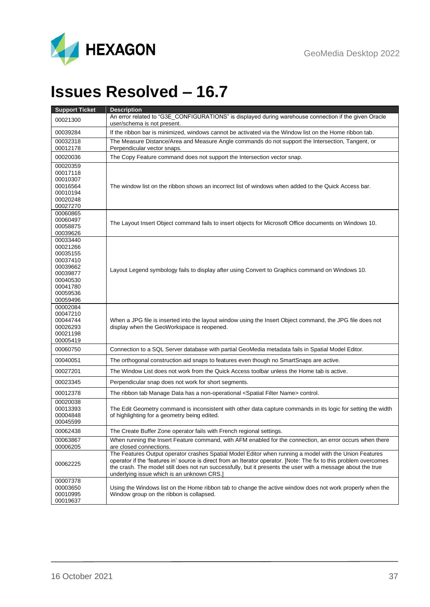

# <span id="page-36-0"></span>**Issues Resolved – 16.7**

| <b>Support Ticket</b> | <b>Description</b>                                                                                                                                                                                                           |
|-----------------------|------------------------------------------------------------------------------------------------------------------------------------------------------------------------------------------------------------------------------|
| 00021300              | An error related to "G3E_CONFIGURATIONS" is displayed during warehouse connection if the given Oracle<br>user/schema is not present.                                                                                         |
| 00039284              | If the ribbon bar is minimized, windows cannot be activated via the Window list on the Home ribbon tab.                                                                                                                      |
| 00032318<br>00012178  | The Measure Distance/Area and Measure Angle commands do not support the Intersection, Tangent, or<br>Perpendicular vector snaps.                                                                                             |
| 00020036              | The Copy Feature command does not support the Intersection vector snap.                                                                                                                                                      |
| 00020359              |                                                                                                                                                                                                                              |
| 00017118              |                                                                                                                                                                                                                              |
| 00010307<br>00016564  | The window list on the ribbon shows an incorrect list of windows when added to the Quick Access bar.                                                                                                                         |
| 00010194              |                                                                                                                                                                                                                              |
| 00020248              |                                                                                                                                                                                                                              |
| 00027270              |                                                                                                                                                                                                                              |
| 00060865              |                                                                                                                                                                                                                              |
| 00060497<br>00058875  | The Layout Insert Object command fails to insert objects for Microsoft Office documents on Windows 10.                                                                                                                       |
| 00039626              |                                                                                                                                                                                                                              |
| 00033440              |                                                                                                                                                                                                                              |
| 00021266              |                                                                                                                                                                                                                              |
| 00035155<br>00037410  |                                                                                                                                                                                                                              |
| 00039662              |                                                                                                                                                                                                                              |
| 00039877              | Layout Legend symbology fails to display after using Convert to Graphics command on Windows 10.                                                                                                                              |
| 00040530              |                                                                                                                                                                                                                              |
| 00041780              |                                                                                                                                                                                                                              |
| 00059536<br>00059496  |                                                                                                                                                                                                                              |
| 00002084              |                                                                                                                                                                                                                              |
| 00047210              |                                                                                                                                                                                                                              |
| 00044744              | When a JPG file is inserted into the layout window using the Insert Object command, the JPG file does not                                                                                                                    |
| 00026293              | display when the GeoWorkspace is reopened.                                                                                                                                                                                   |
| 00021198<br>00005419  |                                                                                                                                                                                                                              |
| 00060750              | Connection to a SQL Server database with partial GeoMedia metadata fails in Spatial Model Editor.                                                                                                                            |
| 00040051              | The orthogonal construction aid snaps to features even though no SmartSnaps are active.                                                                                                                                      |
| 00027201              | The Window List does not work from the Quick Access toolbar unless the Home tab is active.                                                                                                                                   |
| 00023345              | Perpendicular snap does not work for short segments.                                                                                                                                                                         |
| 00012378              | The ribbon tab Manage Data has a non-operational <spatial filter="" name=""> control.</spatial>                                                                                                                              |
| 00020038              |                                                                                                                                                                                                                              |
| 00013393<br>00004848  | The Edit Geometry command is inconsistent with other data capture commands in its logic for setting the width<br>of highlighting for a geometry being edited.                                                                |
| 00045599              |                                                                                                                                                                                                                              |
| 00062438              | The Create Buffer Zone operator fails with French regional settings.                                                                                                                                                         |
| 00063867              | When running the Insert Feature command, with AFM enabled for the connection, an error occurs when there                                                                                                                     |
| 00006205              | are closed connections.                                                                                                                                                                                                      |
| 00062225              | The Features Output operator crashes Spatial Model Editor when running a model with the Union Features<br>operator if the 'features in' source is direct from an Iterator operator. [Note: The fix to this problem overcomes |
|                       | the crash. The model still does not run successfully, but it presents the user with a message about the true<br>underlying issue which is an unknown CRS.]                                                                   |
| 00007378              |                                                                                                                                                                                                                              |
| 00003650<br>00010995  | Using the Windows list on the Home ribbon tab to change the active window does not work properly when the                                                                                                                    |
| 00019637              | Window group on the ribbon is collapsed.                                                                                                                                                                                     |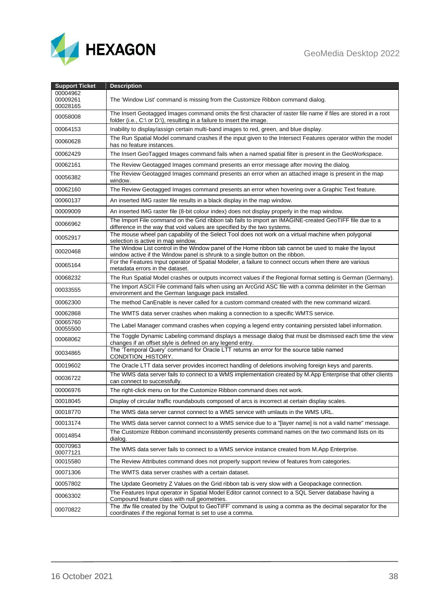

| <b>Support Ticket</b>            | <b>Description</b>                                                                                                                                                                        |
|----------------------------------|-------------------------------------------------------------------------------------------------------------------------------------------------------------------------------------------|
| 00004962<br>00009261<br>00028165 | The 'Window List' command is missing from the Customize Ribbon command dialog.                                                                                                            |
| 00058008                         | The Insert Geotagged Images command omits the first character of raster file name if files are stored in a root<br>folder (i.e., C:\ or D:\), resulting in a failure to insert the image. |
| 00064153                         | Inability to display/assign certain multi-band images to red, green, and blue display.                                                                                                    |
| 00060628                         | The Run Spatial Model command crashes if the input given to the Intersect Features operator within the model<br>has no feature instances.                                                 |
| 00062429                         | The Insert GeoTagged Images command fails when a named spatial filter is present in the GeoWorkspace.                                                                                     |
| 00062161                         | The Review Geotagged Images command presents an error message after moving the dialog.                                                                                                    |
| 00056382                         | The Review Geotagged Images command presents an error when an attached image is present in the map<br>window.                                                                             |
| 00062160                         | The Review Geotagged Images command presents an error when hovering over a Graphic Text feature.                                                                                          |
| 00060137                         | An inserted IMG raster file results in a black display in the map window.                                                                                                                 |
| 00009009                         | An inserted IMG raster file (8-bit colour index) does not display properly in the map window.                                                                                             |
| 00066962                         | The Import File command on the Grid ribbon tab fails to import an IMAGINE-created GeoTIFF file due to a<br>difference in the way that void values are specified by the two systems.       |
| 00052917                         | The mouse wheel pan capability of the Select Tool does not work on a virtual machine when polygonal<br>selection is active in map window.                                                 |
| 00020468                         | The Window List control in the Window panel of the Home ribbon tab cannot be used to make the layout<br>window active if the Window panel is shrunk to a single button on the ribbon.     |
| 00065164                         | For the Features Input operator of Spatial Modeler, a failure to connect occurs when there are various<br>metadata errors in the dataset.                                                 |
| 00068232                         | The Run Spatial Model crashes or outputs incorrect values if the Regional format setting is German (Germany).                                                                             |
| 00033555                         | The Import ASCII File command fails when using an ArcGrid ASC file with a comma delimiter in the German<br>environment and the German language pack installed.                            |
| 00062300                         | The method CanEnable is never called for a custom command created with the new command wizard.                                                                                            |
| 00062868                         | The WMTS data server crashes when making a connection to a specific WMTS service.                                                                                                         |
| 00065760<br>00055500             | The Label Manager command crashes when copying a legend entry containing persisted label information.                                                                                     |
| 00068062                         | The Toggle Dynamic Labeling command displays a message dialog that must be dismissed each time the view<br>changes if an offset style is defined on any legend entry.                     |
| 00034865                         | The 'Temporal Query' command for Oracle LTT returns an error for the source table named<br>CONDITION_HISTORY.                                                                             |
| 00019602                         | The Oracle LTT data server provides incorrect handling of deletions involving foreign keys and parents.                                                                                   |
| 00036722                         | The WMS data server fails to connect to a WMS implementation created by M.App Enterprise that other clients<br>can connect to successfully.                                               |
| 00006976                         | The right-click menu on for the Customize Ribbon command does not work.                                                                                                                   |
| 00018045                         | Display of circular traffic roundabouts composed of arcs is incorrect at certain display scales.                                                                                          |
| 00018770                         | The WMS data server cannot connect to a WMS service with umlauts in the WMS URL.                                                                                                          |
| 00013174                         | The WMS data server cannot connect to a WMS service due to a "[layer name] is not a valid name" message.                                                                                  |
| 00014854                         | The Customize Ribbon command inconsistently presents command names on the two command lists on its<br>dialog.                                                                             |
| 00070963<br>00077121             | The WMS data server fails to connect to a WMS service instance created from M.App Enterprise.                                                                                             |
| 00015580                         | The Review Attributes command does not properly support review of features from categories.                                                                                               |
| 00071306                         | The WMTS data server crashes with a certain dataset.                                                                                                                                      |
| 00057802                         | The Update Geometry Z Values on the Grid ribbon tab is very slow with a Geopackage connection.                                                                                            |
| 00063302                         | The Features Input operator in Spatial Model Editor cannot connect to a SQL Server database having a<br>Compound feature class with null geometries.                                      |
| 00070822                         | The .tfw file created by the 'Output to GeoTIFF' command is using a comma as the decimal separator for the<br>coordinates if the regional format is set to use a comma.                   |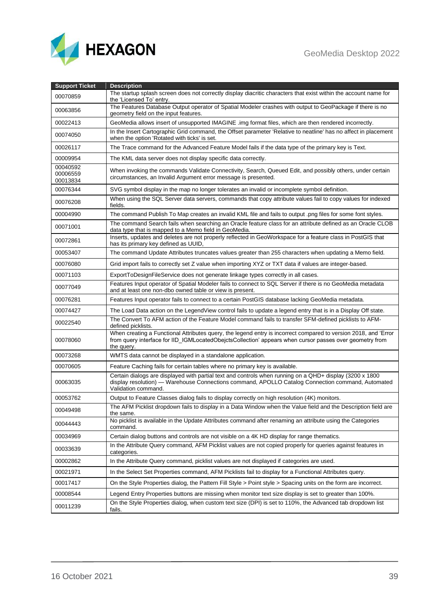## GeoMedia Desktop 2022



| <b>Support Ticket</b>            | <b>Description</b>                                                                                                                                                                                                                       |
|----------------------------------|------------------------------------------------------------------------------------------------------------------------------------------------------------------------------------------------------------------------------------------|
| 00070859                         | The startup splash screen does not correctly display diacritic characters that exist within the account name for<br>the 'Licensed To' entry.                                                                                             |
| 00063856                         | The Features Database Output operator of Spatial Modeler crashes with output to GeoPackage if there is no<br>geometry field on the input features.                                                                                       |
| 00022413                         | GeoMedia allows insert of unsupported IMAGINE .img format files, which are then rendered incorrectly.                                                                                                                                    |
| 00074050                         | In the Insert Cartographic Grid command, the Offset parameter 'Relative to neatline' has no affect in placement<br>when the option 'Rotated with ticks' is set.                                                                          |
| 00026117                         | The Trace command for the Advanced Feature Model fails if the data type of the primary key is Text.                                                                                                                                      |
| 00009954                         | The KML data server does not display specific data correctly.                                                                                                                                                                            |
| 00040592<br>00006559<br>00013834 | When invoking the commands Validate Connectivity, Search, Queued Edit, and possibly others, under certain<br>circumstances, an Invalid Argument error message is presented.                                                              |
| 00076344                         | SVG symbol display in the map no longer tolerates an invalid or incomplete symbol definition.                                                                                                                                            |
| 00076208                         | When using the SQL Server data servers, commands that copy attribute values fail to copy values for indexed<br>fields.                                                                                                                   |
| 00004990                         | The command Publish To Map creates an invalid KML file and fails to output .png files for some font styles.                                                                                                                              |
| 00071001                         | The command Search fails when searching an Oracle feature class for an attribute defined as an Oracle CLOB<br>data type that is mapped to a Memo field in GeoMedia.                                                                      |
| 00072861                         | Inserts, updates and deletes are not properly reflected in GeoWorkspace for a feature class in PostGIS that<br>has its primary key defined as UUID,                                                                                      |
| 00053407                         | The command Update Attributes truncates values greater than 255 characters when updating a Memo field.                                                                                                                                   |
| 00076080                         | Grid import fails to correctly set Z value when importing XYZ or TXT data if values are integer-based.                                                                                                                                   |
| 00071103                         | ExportToDesignFileService does not generate linkage types correctly in all cases.                                                                                                                                                        |
| 00077049                         | Features Input operator of Spatial Modeler fails to connect to SQL Server if there is no GeoMedia metadata<br>and at least one non-dbo owned table or view is present.                                                                   |
| 00076281                         | Features Input operator fails to connect to a certain PostGIS database lacking GeoMedia metadata.                                                                                                                                        |
| 00074427                         | The Load Data action on the LegendView control fails to update a legend entry that is in a Display Off state.                                                                                                                            |
| 00022540                         | The Convert To AFM action of the Feature Model command fails to transfer SFM-defined picklists to AFM-<br>defined picklists.                                                                                                             |
| 00078060                         | When creating a Functional Attributes query, the legend entry is incorrect compared to version 2018, and 'Error<br>from query interface for IID_IGMLocatedObejctsCollection' appears when cursor passes over geometry from<br>the query. |
| 00073268                         | WMTS data cannot be displayed in a standalone application.                                                                                                                                                                               |
| 00070605                         | Feature Caching fails for certain tables where no primary key is available.                                                                                                                                                              |
| 00063035                         | Certain dialogs are displayed with partial text and controls when running on a QHD+ display (3200 x 1800<br>display resolution) - Warehouse Connections command, APOLLO Catalog Connection command, Automated<br>Validation command.     |
| 00053762                         | Output to Feature Classes dialog fails to display correctly on high resolution (4K) monitors.                                                                                                                                            |
| 00049498                         | The AFM Picklist dropdown fails to display in a Data Window when the Value field and the Description field are<br>the same.                                                                                                              |
| 00044443                         | No picklist is available in the Update Attributes command after renaming an attribute using the Categories<br>command.                                                                                                                   |
| 00034969                         | Certain dialog buttons and controls are not visible on a 4K HD display for range thematics.                                                                                                                                              |
| 00033639                         | In the Attribute Query command, AFM Picklist values are not copied properly for queries against features in<br>categories.                                                                                                               |
| 00002862                         | In the Attribute Query command, picklist values are not displayed if categories are used.                                                                                                                                                |
| 00021971                         | In the Select Set Properties command, AFM Picklists fail to display for a Functional Attributes query.                                                                                                                                   |
| 00017417                         | On the Style Properties dialog, the Pattern Fill Style > Point style > Spacing units on the form are incorrect.                                                                                                                          |
| 00008544                         | Legend Entry Properties buttons are missing when monitor text size display is set to greater than 100%.                                                                                                                                  |
| 00011239                         | On the Style Properties dialog, when custom text size (DPI) is set to 110%, the Advanced tab dropdown list<br>fails.                                                                                                                     |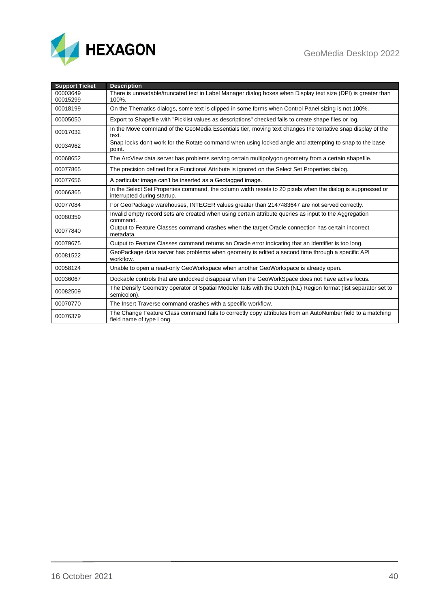



| <b>Support Ticket</b> | <b>Description</b>                                                                                                                         |
|-----------------------|--------------------------------------------------------------------------------------------------------------------------------------------|
| 00003649              | There is unreadable/truncated text in Label Manager dialog boxes when Display text size (DPI) is greater than                              |
| 00015299              | 100%.                                                                                                                                      |
| 00018199              | On the Thematics dialogs, some text is clipped in some forms when Control Panel sizing is not 100%.                                        |
| 00005050              | Export to Shapefile with "Picklist values as descriptions" checked fails to create shape files or log.                                     |
| 00017032              | In the Move command of the GeoMedia Essentials tier, moving text changes the tentative snap display of the<br>text.                        |
| 00034962              | Snap locks don't work for the Rotate command when using locked angle and attempting to snap to the base<br>point.                          |
| 00068652              | The ArcView data server has problems serving certain multipolygon geometry from a certain shapefile.                                       |
| 00077865              | The precision defined for a Functional Attribute is ignored on the Select Set Properties dialog.                                           |
| 00077656              | A particular image can't be inserted as a Geotagged image.                                                                                 |
| 00066365              | In the Select Set Properties command, the column width resets to 20 pixels when the dialog is suppressed or<br>interrupted during startup. |
| 00077084              | For GeoPackage warehouses, INTEGER values greater than 2147483647 are not served correctly.                                                |
| 00080359              | Invalid empty record sets are created when using certain attribute queries as input to the Aggregation<br>command.                         |
| 00077840              | Output to Feature Classes command crashes when the target Oracle connection has certain incorrect<br>metadata.                             |
| 00079675              | Output to Feature Classes command returns an Oracle error indicating that an identifier is too long.                                       |
| 00081522              | GeoPackage data server has problems when geometry is edited a second time through a specific API<br>workflow.                              |
| 00058124              | Unable to open a read-only GeoWorkspace when another GeoWorkspace is already open.                                                         |
| 00036067              | Dockable controls that are undocked disappear when the GeoWorkSpace does not have active focus.                                            |
| 00082509              | The Densify Geometry operator of Spatial Modeler fails with the Dutch (NL) Region format (list separator set to<br>semicolon).             |
| 00070770              | The Insert Traverse command crashes with a specific workflow.                                                                              |
| 00076379              | The Change Feature Class command fails to correctly copy attributes from an AutoNumber field to a matching<br>field name of type Long.     |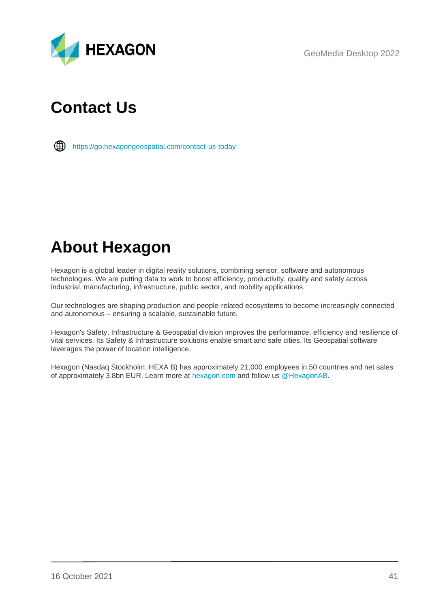GeoMedia Desktop 2022



# <span id="page-40-0"></span>**Contact Us**



<https://go.hexagongeospatial.com/contact-us-today>

# <span id="page-40-1"></span>**About Hexagon**

Hexagon is a global leader in digital reality solutions, combining sensor, software and autonomous technologies. We are putting data to work to boost efficiency, productivity, quality and safety across industrial, manufacturing, infrastructure, public sector, and mobility applications.

Our technologies are shaping production and people-related ecosystems to become increasingly connected and autonomous – ensuring a scalable, sustainable future.

Hexagon's Safety, Infrastructure & Geospatial division improves the performance, efficiency and resilience of vital services. Its Safety & Infrastructure solutions enable smart and safe cities. Its Geospatial software leverages the power of location intelligence.

Hexagon (Nasdaq Stockholm: HEXA B) has approximately 21,000 employees in 50 countries and net sales of approximately 3.8bn EUR. Learn more at [hexagon.com](https://hexagon.com/) and follow us [@HexagonAB.](https://twitter.com/hexagonab)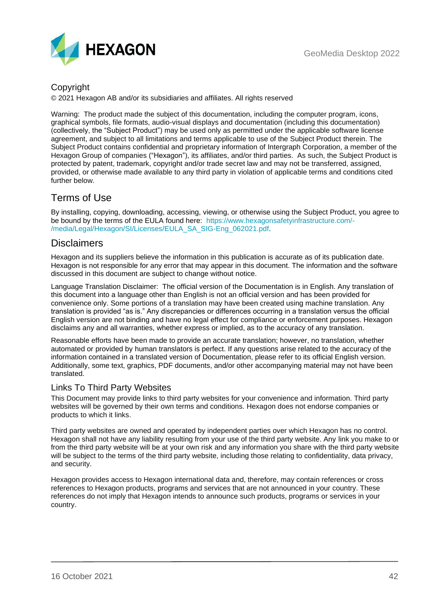

## Copyright

© 2021 Hexagon AB and/or its subsidiaries and affiliates. All rights reserved

Warning: The product made the subject of this documentation, including the computer program, icons, graphical symbols, file formats, audio-visual displays and documentation (including this documentation) (collectively, the "Subject Product") may be used only as permitted under the applicable software license agreement, and subject to all limitations and terms applicable to use of the Subject Product therein. The Subject Product contains confidential and proprietary information of Intergraph Corporation, a member of the Hexagon Group of companies ("Hexagon"), its affiliates, and/or third parties. As such, the Subject Product is protected by patent, trademark, copyright and/or trade secret law and may not be transferred, assigned, provided, or otherwise made available to any third party in violation of applicable terms and conditions cited further below.

## Terms of Use

By installing, copying, downloading, accessing, viewing, or otherwise using the Subject Product, you agree to be bound by the terms of the EULA found here: [https://www.hexagonsafetyinfrastructure.com/-](https://www.hexagonsafetyinfrastructure.com/-/media/Legal/Hexagon/SI/Licenses/EULA_SA_SIG-Eng_062021.pdf) [/media/Legal/Hexagon/SI/Licenses/EULA\\_SA\\_SIG-Eng\\_062021.pdf.](https://www.hexagonsafetyinfrastructure.com/-/media/Legal/Hexagon/SI/Licenses/EULA_SA_SIG-Eng_062021.pdf)

## **Disclaimers**

Hexagon and its suppliers believe the information in this publication is accurate as of its publication date. Hexagon is not responsible for any error that may appear in this document. The information and the software discussed in this document are subject to change without notice.

Language Translation Disclaimer: The official version of the Documentation is in English. Any translation of this document into a language other than English is not an official version and has been provided for convenience only. Some portions of a translation may have been created using machine translation. Any translation is provided "as is." Any discrepancies or differences occurring in a translation versus the official English version are not binding and have no legal effect for compliance or enforcement purposes. Hexagon disclaims any and all warranties, whether express or implied, as to the accuracy of any translation.

Reasonable efforts have been made to provide an accurate translation; however, no translation, whether automated or provided by human translators is perfect. If any questions arise related to the accuracy of the information contained in a translated version of Documentation, please refer to its official English version. Additionally, some text, graphics, PDF documents, and/or other accompanying material may not have been translated.

## Links To Third Party Websites

This Document may provide links to third party websites for your convenience and information. Third party websites will be governed by their own terms and conditions. Hexagon does not endorse companies or products to which it links.

Third party websites are owned and operated by independent parties over which Hexagon has no control. Hexagon shall not have any liability resulting from your use of the third party website. Any link you make to or from the third party website will be at your own risk and any information you share with the third party website will be subject to the terms of the third party website, including those relating to confidentiality, data privacy, and security.

Hexagon provides access to Hexagon international data and, therefore, may contain references or cross references to Hexagon products, programs and services that are not announced in your country. These references do not imply that Hexagon intends to announce such products, programs or services in your country.